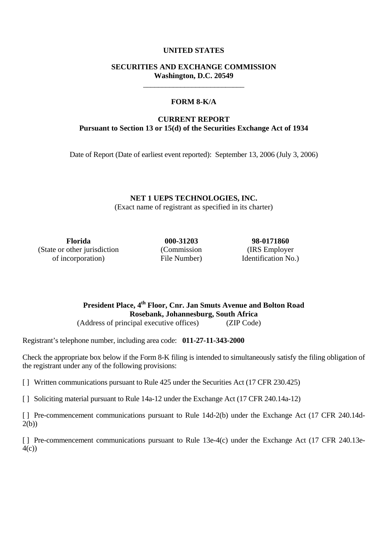# **UNITED STATES**

# **SECURITIES AND EXCHANGE COMMISSION Washington, D.C. 20549**  \_\_\_\_\_\_\_\_\_\_\_\_\_\_\_\_\_\_\_\_\_\_\_\_\_\_\_

# **FORM 8-K/A**

# **CURRENT REPORT Pursuant to Section 13 or 15(d) of the Securities Exchange Act of 1934**

Date of Report (Date of earliest event reported): September 13, 2006 (July 3, 2006)

**NET 1 UEPS TECHNOLOGIES, INC.**  (Exact name of registrant as specified in its charter)

**Florida 000-31203 98-0171860**  (State or other jurisdiction of incorporation)

(Commission File Number)

(IRS Employer Identification No.)

**President Place, 4th Floor, Cnr. Jan Smuts Avenue and Bolton Road Rosebank, Johannesburg, South Africa**  (Address of principal executive offices) (ZIP Code)

Registrant's telephone number, including area code: **011-27-11-343-2000**

Check the appropriate box below if the Form 8-K filing is intended to simultaneously satisfy the filing obligation of the registrant under any of the following provisions:

[ ] Written communications pursuant to Rule 425 under the Securities Act (17 CFR 230.425)

[ ] Soliciting material pursuant to Rule 14a-12 under the Exchange Act (17 CFR 240.14a-12)

[] Pre-commencement communications pursuant to Rule 14d-2(b) under the Exchange Act (17 CFR 240.14d-2(b))

[] Pre-commencement communications pursuant to Rule 13e-4(c) under the Exchange Act (17 CFR 240.13e-4(c))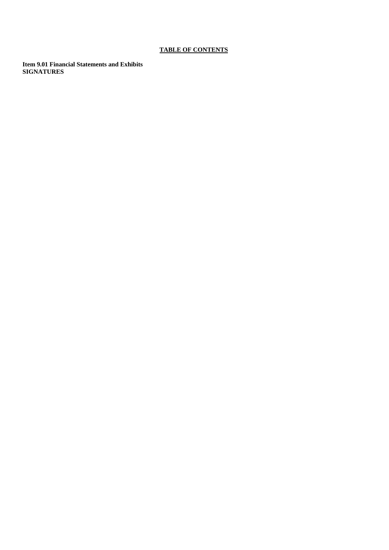# **TABLE OF CONTENTS**

**Item 9.01 Financial Statements and Exhibits SIGNATURES**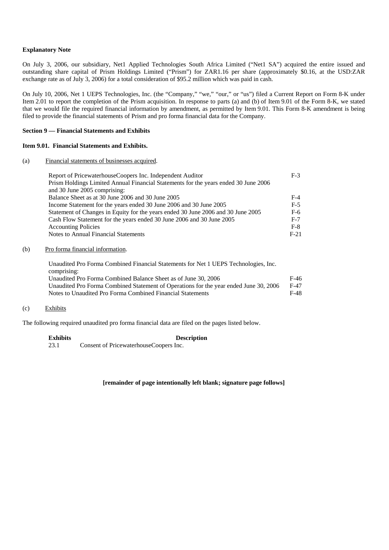### **Explanatory Note**

On July 3, 2006, our subsidiary, Net1 Applied Technologies South Africa Limited ("Net1 SA") acquired the entire issued and outstanding share capital of Prism Holdings Limited ("Prism") for ZAR1.16 per share (approximately \$0.16, at the USD:ZAR exchange rate as of July 3, 2006) for a total consideration of \$95.2 million which was paid in cash.

On July 10, 2006, Net 1 UEPS Technologies, Inc. (the "Company," "we," "our," or "us") filed a Current Report on Form 8-K under Item 2.01 to report the completion of the Prism acquisition. In response to parts (a) and (b) of Item 9.01 of the Form 8-K, we stated that we would file the required financial information by amendment, as permitted by Item 9.01. This Form 8-K amendment is being filed to provide the financial statements of Prism and pro forma financial data for the Company.

#### **Section 9 — Financial Statements and Exhibits**

### **Item 9.01. Financial Statements and Exhibits.**

#### (a) Financial statements of businesses acquired.

| Report of PricewaterhouseCoopers Inc. Independent Auditor                           | $F-3$  |
|-------------------------------------------------------------------------------------|--------|
| Prism Holdings Limited Annual Financial Statements for the years ended 30 June 2006 |        |
| and 30 June 2005 comprising:                                                        |        |
| Balance Sheet as at 30 June 2006 and 30 June 2005                                   | $F-4$  |
| Income Statement for the years ended 30 June 2006 and 30 June 2005                  | $F-5$  |
| Statement of Changes in Equity for the years ended 30 June 2006 and 30 June 2005    | F-6    |
| Cash Flow Statement for the years ended 30 June 2006 and 30 June 2005               | $F-7$  |
| <b>Accounting Policies</b>                                                          | $F-8$  |
| Notes to Annual Financial Statements                                                | $F-21$ |

#### (b) Pro forma financial information.

Unaudited Pro Forma Combined Financial Statements for Net 1 UEPS Technologies, Inc. comprising: Unaudited Pro Forma Combined Balance Sheet as of June 30, 2006 F-46 Unaudited Pro Forma Combined Statement of Operations for the year ended June 30, 2006 F-47 Notes to Unaudited Pro Forma Combined Financial Statements F-48

#### (c) Exhibits

The following required unaudited pro forma financial data are filed on the pages listed below.

#### **Exhibits Description**  23.1 Consent of PricewaterhouseCoopers Inc.

#### **[remainder of page intentionally left blank; signature page follows]**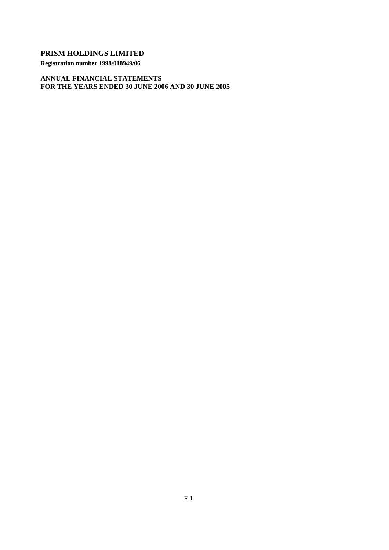**Registration number 1998/018949/06** 

**ANNUAL FINANCIAL STATEMENTS FOR THE YEARS ENDED 30 JUNE 2006 AND 30 JUNE 2005**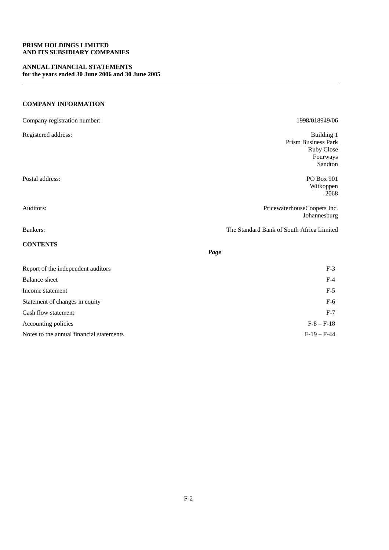### **PRISM HOLDINGS LIMITED AND ITS SUBSIDIARY COMPANIES**

### **ANNUAL FINANCIAL STATEMENTS for the years ended 30 June 2006 and 30 June 2005**

# **COMPANY INFORMATION**

| Company registration number:             | 1998/018949/06                                                         |
|------------------------------------------|------------------------------------------------------------------------|
| Registered address:                      | Building 1<br>Prism Business Park<br>Ruby Close<br>Fourways<br>Sandton |
| Postal address:                          | PO Box 901<br>Witkoppen<br>2068                                        |
| Auditors:                                | PricewaterhouseCoopers Inc.<br>Johannesburg                            |
| Bankers:                                 | The Standard Bank of South Africa Limited                              |
| <b>CONTENTS</b>                          | Page                                                                   |
| Report of the independent auditors       | $F-3$                                                                  |
| <b>Balance</b> sheet                     | $F-4$                                                                  |
| Income statement                         | $F-5$                                                                  |
| Statement of changes in equity           | $F-6$                                                                  |
| Cash flow statement                      | $F-7$                                                                  |
| Accounting policies                      | $F-8 - F-18$                                                           |
| Notes to the annual financial statements | $F-19-F-44$                                                            |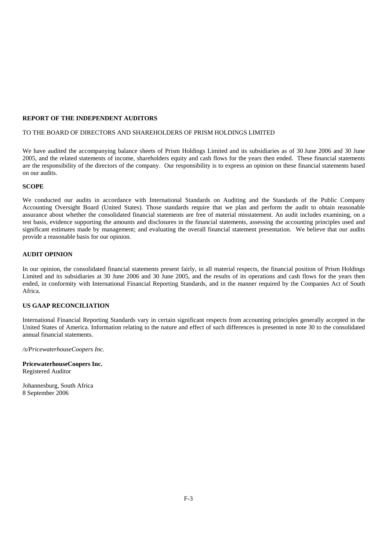### **REPORT OF THE INDEPENDENT AUDITORS**

#### TO THE BOARD OF DIRECTORS AND SHAREHOLDERS OF PRISM HOLDINGS LIMITED

We have audited the accompanying balance sheets of Prism Holdings Limited and its subsidiaries as of 30 June 2006 and 30 June 2005, and the related statements of income, shareholders equity and cash flows for the years then ended. These financial statements are the responsibility of the directors of the company. Our responsibility is to express an opinion on these financial statements based on our audits.

#### **SCOPE**

We conducted our audits in accordance with International Standards on Auditing and the Standards of the Public Company Accounting Oversight Board (United States). Those standards require that we plan and perform the audit to obtain reasonable assurance about whether the consolidated financial statements are free of material misstatement. An audit includes examining, on a test basis, evidence supporting the amounts and disclosures in the financial statements, assessing the accounting principles used and significant estimates made by management; and evaluating the overall financial statement presentation. We believe that our audits provide a reasonable basis for our opinion.

### **AUDIT OPINION**

In our opinion, the consolidated financial statements present fairly, in all material respects, the financial position of Prism Holdings Limited and its subsidiaries at 30 June 2006 and 30 June 2005, and the results of its operations and cash flows for the years then ended, in conformity with International Financial Reporting Standards, and in the manner required by the Companies Act of South Africa.

### **US GAAP RECONCILIATION**

International Financial Reporting Standards vary in certain significant respects from accounting principles generally accepted in the United States of America. Information relating to the nature and effect of such differences is presented in note 30 to the consolidated annual financial statements.

*/s/PricewaterhouseCoopers Inc.* 

**PricewaterhouseCoopers Inc.** Registered Auditor

Johannesburg, South Africa 8 September 2006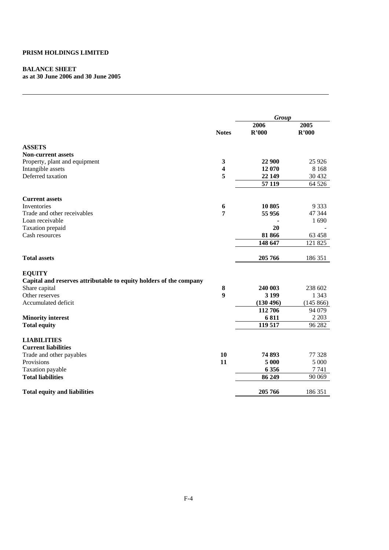# **BALANCE SHEET**

**as at 30 June 2006 and 30 June 2005** 

|                                                                    |                         | <b>Group</b> |           |
|--------------------------------------------------------------------|-------------------------|--------------|-----------|
|                                                                    |                         | 2006         | 2005      |
|                                                                    | <b>Notes</b>            | R'000        | R'000     |
| <b>ASSETS</b>                                                      |                         |              |           |
| <b>Non-current assets</b>                                          |                         |              |           |
| Property, plant and equipment                                      | $\mathbf{3}$            | 22 900       | 25 9 26   |
| Intangible assets                                                  | $\overline{\mathbf{4}}$ | 12 070       | 8 1 6 8   |
| Deferred taxation                                                  | 5                       | 22 149       | 30 432    |
|                                                                    |                         | 57 119       | 64 5 26   |
| <b>Current assets</b>                                              |                         |              |           |
| Inventories                                                        | 6                       | 10 805       | 9 3 3 3   |
| Trade and other receivables                                        | 7                       | 55 956       | 47 344    |
| Loan receivable                                                    |                         |              | 1690      |
| Taxation prepaid                                                   |                         | 20           |           |
| Cash resources                                                     |                         | 81 866       | 63 458    |
|                                                                    |                         | 148 647      | 121 825   |
| <b>Total assets</b>                                                |                         | 205 766      | 186 351   |
| <b>EQUITY</b>                                                      |                         |              |           |
| Capital and reserves attributable to equity holders of the company |                         |              |           |
| Share capital                                                      | 8                       | 240 003      | 238 602   |
| Other reserves                                                     | 9                       | 3 1 9 9      | 1 3 4 3   |
| Accumulated deficit                                                |                         | (130 496)    | (145 866) |
|                                                                    |                         | 112 706      | 94 079    |
| <b>Minority interest</b>                                           |                         | 6811         | 2 2 0 3   |
| <b>Total equity</b>                                                |                         | 119 517      | 96 282    |
| <b>LIABILITIES</b>                                                 |                         |              |           |
| <b>Current liabilities</b>                                         |                         |              |           |
| Trade and other payables                                           | 10                      | 74 893       | 77 328    |
| Provisions                                                         | 11                      | 5 000        | 5 0 0 0   |
| Taxation payable                                                   |                         | 6 3 5 6      | 7 7 4 1   |
| <b>Total liabilities</b>                                           |                         | 86 249       | 90 069    |
| <b>Total equity and liabilities</b>                                |                         | 205 766      | 186 351   |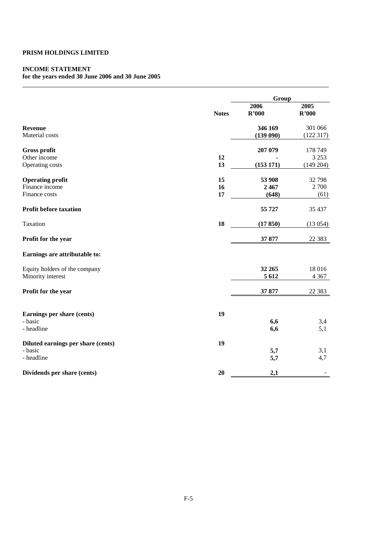# **INCOME STATEMENT**

# **for the years ended 30 June 2006 and 30 June 2005**

|                                    |              | Group               |                     |  |
|------------------------------------|--------------|---------------------|---------------------|--|
|                                    | <b>Notes</b> | 2006<br>R'000       | 2005<br>R'000       |  |
| <b>Revenue</b><br>Material costs   |              | 346 169<br>(139090) | 301 066<br>(122317) |  |
| <b>Gross profit</b>                |              | 207 079             | 178 749             |  |
| Other income                       | 12           |                     | 3 2 5 3             |  |
| Operating costs                    | 13           | (153171)            | (149 204)           |  |
| <b>Operating profit</b>            | 15           | 53 908              | 32 798              |  |
| Finance income                     | 16           | 2467                | 2700                |  |
| Finance costs                      | 17           | (648)               | (61)                |  |
| Profit before taxation             |              | 55 727              | 35 437              |  |
| Taxation                           | 18           | (17850)             | (13054)             |  |
| Profit for the year                |              | 37 877              | 22 3 8 3            |  |
| Earnings are attributable to:      |              |                     |                     |  |
| Equity holders of the company      |              | 32 265              | 18 016              |  |
| Minority interest                  |              | 5 6 12              | 4 3 6 7             |  |
| Profit for the year                |              | 37 877              | 22 3 8 3            |  |
| Earnings per share (cents)         | 19           |                     |                     |  |
| - basic                            |              | 6,6                 | 3,4                 |  |
| - headline                         |              | 6,6                 | 5,1                 |  |
| Diluted earnings per share (cents) | 19           |                     |                     |  |
| - basic                            |              | 5,7                 | 3,1                 |  |
| - headline                         |              | 5,7                 | 4,7                 |  |
| Dividends per share (cents)        | 20           | 2,1                 |                     |  |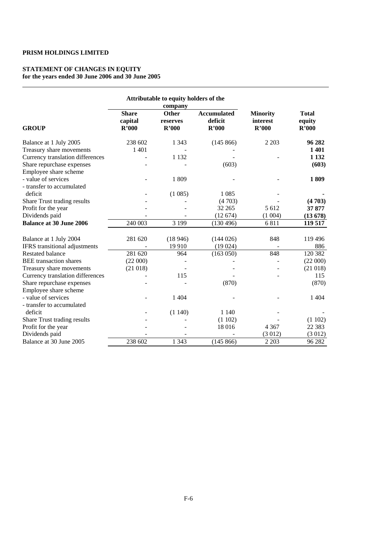#### **STATEMENT OF CHANGES IN EQUITY for the years ended 30 June 2006 and 30 June 2005**

|                                  |                                  | Attributable to equity holders of the<br>company |                                        |                                      |                                 |
|----------------------------------|----------------------------------|--------------------------------------------------|----------------------------------------|--------------------------------------|---------------------------------|
| <b>GROUP</b>                     | <b>Share</b><br>capital<br>R'000 | Other<br>reserves<br>R'000                       | <b>Accumulated</b><br>deficit<br>R'000 | <b>Minority</b><br>interest<br>R'000 | <b>Total</b><br>equity<br>R'000 |
| Balance at 1 July 2005           | 238 602                          | 1 3 4 3                                          | (145 866)                              | 2 2 0 3                              | 96 282                          |
| Treasury share movements         | 1 4 0 1                          |                                                  |                                        |                                      | 1401                            |
| Currency translation differences |                                  | 1 1 3 2                                          |                                        |                                      | 1 1 3 2                         |
| Share repurchase expenses        |                                  |                                                  | (603)                                  |                                      | (603)                           |
| Employee share scheme            |                                  |                                                  |                                        |                                      |                                 |
| - value of services              |                                  | 1809                                             |                                        |                                      | 1809                            |
| - transfer to accumulated        |                                  |                                                  |                                        |                                      |                                 |
| deficit                          |                                  | (1085)                                           | 1 0 8 5                                |                                      |                                 |
| Share Trust trading results      |                                  |                                                  | (4703)                                 |                                      | (4703)                          |
| Profit for the year              |                                  |                                                  | 32 265                                 | 5 6 12                               | 37 877                          |
| Dividends paid                   |                                  |                                                  | (12674)                                | (1004)                               | (13678)                         |
| <b>Balance at 30 June 2006</b>   | 240 003                          | 3 1 9 9                                          | (130 496)                              | 6811                                 | 119 517                         |
| Balance at 1 July 2004           | 281 620                          | (18946)                                          | (144026)                               | 848                                  | 119 496                         |
| IFRS transitional adjustments    |                                  | 19 9 10                                          | (19024)                                |                                      | 886                             |
| <b>Restated balance</b>          | 281 620                          | 964                                              | (163 050)                              | 848                                  | 120 382                         |
| <b>BEE</b> transaction shares    | (22000)                          |                                                  |                                        |                                      | (22000)                         |
| Treasury share movements         | (21018)                          |                                                  |                                        |                                      | (21018)                         |
| Currency translation differences |                                  | 115                                              |                                        |                                      | 115                             |
| Share repurchase expenses        |                                  |                                                  | (870)                                  |                                      | (870)                           |
| Employee share scheme            |                                  |                                                  |                                        |                                      |                                 |
| - value of services              |                                  | 1 4 0 4                                          |                                        |                                      | 1 4 0 4                         |
| - transfer to accumulated        |                                  |                                                  |                                        |                                      |                                 |
| deficit                          |                                  | (1140)                                           | 1 1 4 0                                |                                      |                                 |
| Share Trust trading results      |                                  |                                                  | (1102)                                 |                                      | (1102)                          |
| Profit for the year              |                                  |                                                  | 18 016                                 | 4 3 6 7                              | 22 3 8 3                        |
| Dividends paid                   |                                  |                                                  |                                        | (3012)                               | (3012)                          |
| Balance at 30 June 2005          | 238 602                          | 1 3 4 3                                          | (145 866)                              | 2 2 0 3                              | 96 282                          |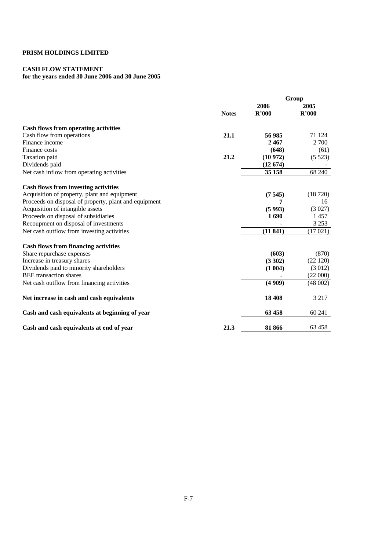# **CASH FLOW STATEMENT**

# **for the years ended 30 June 2006 and 30 June 2005**

|                                                       | <b>Notes</b> | Group         |               |  |
|-------------------------------------------------------|--------------|---------------|---------------|--|
|                                                       |              | 2006<br>R'000 | 2005<br>R'000 |  |
| Cash flows from operating activities                  |              |               |               |  |
| Cash flow from operations                             | 21.1         | 56 985        | 71 124        |  |
| Finance income                                        |              | 2467          | 2 700         |  |
| Finance costs                                         |              | (648)         | (61)          |  |
| Taxation paid                                         | 21.2         | (10972)       | (5523)        |  |
| Dividends paid                                        |              | (12674)       |               |  |
| Net cash inflow from operating activities             |              | 35 158        | 68 240        |  |
| <b>Cash flows from investing activities</b>           |              |               |               |  |
| Acquisition of property, plant and equipment          |              | (7545)        | (18720)       |  |
| Proceeds on disposal of property, plant and equipment |              | 7             | 16            |  |
| Acquisition of intangible assets                      |              | (5993)        | (3027)        |  |
| Proceeds on disposal of subsidiaries                  |              | 1690          | 1457          |  |
| Recoupment on disposal of investments                 |              |               | 3 2 5 3       |  |
| Net cash outflow from investing activities            |              | (11841)       | (17021)       |  |
| <b>Cash flows from financing activities</b>           |              |               |               |  |
| Share repurchase expenses                             |              | (603)         | (870)         |  |
| Increase in treasury shares                           |              | (3302)        | (22120)       |  |
| Dividends paid to minority shareholders               |              | (1004)        | (3012)        |  |
| <b>BEE</b> transaction shares                         |              |               | (22 000)      |  |
| Net cash outflow from financing activities            |              | (4909)        | (48002)       |  |
| Net increase in cash and cash equivalents             |              | 18 408        | 3 2 1 7       |  |
| Cash and cash equivalents at beginning of year        |              | 63458         | 60 241        |  |
| Cash and cash equivalents at end of year              | 21.3         | 81866         | 63458         |  |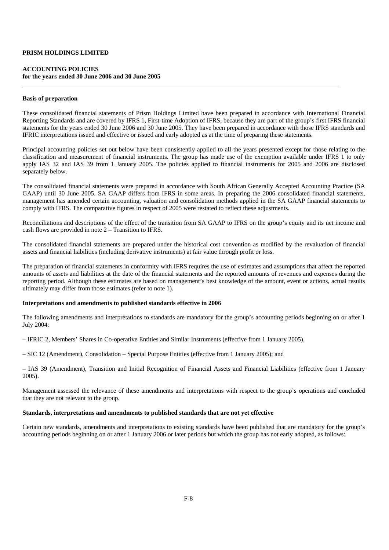#### **ACCOUNTING POLICIES for the years ended 30 June 2006 and 30 June 2005**

#### **Basis of preparation**

These consolidated financial statements of Prism Holdings Limited have been prepared in accordance with International Financial Reporting Standards and are covered by IFRS 1, First-time Adoption of IFRS, because they are part of the group's first IFRS financial statements for the years ended 30 June 2006 and 30 June 2005. They have been prepared in accordance with those IFRS standards and IFRIC interpretations issued and effective or issued and early adopted as at the time of preparing these statements.

Principal accounting policies set out below have been consistently applied to all the years presented except for those relating to the classification and measurement of financial instruments. The group has made use of the exemption available under IFRS 1 to only apply IAS 32 and IAS 39 from 1 January 2005. The policies applied to financial instruments for 2005 and 2006 are disclosed separately below.

The consolidated financial statements were prepared in accordance with South African Generally Accepted Accounting Practice (SA GAAP) until 30 June 2005. SA GAAP differs from IFRS in some areas. In preparing the 2006 consolidated financial statements, management has amended certain accounting, valuation and consolidation methods applied in the SA GAAP financial statements to comply with IFRS. The comparative figures in respect of 2005 were restated to reflect these adjustments.

Reconciliations and descriptions of the effect of the transition from SA GAAP to IFRS on the group's equity and its net income and cash flows are provided in note 2 – Transition to IFRS.

The consolidated financial statements are prepared under the historical cost convention as modified by the revaluation of financial assets and financial liabilities (including derivative instruments) at fair value through profit or loss.

The preparation of financial statements in conformity with IFRS requires the use of estimates and assumptions that affect the reported amounts of assets and liabilities at the date of the financial statements and the reported amounts of revenues and expenses during the reporting period. Although these estimates are based on management's best knowledge of the amount, event or actions, actual results ultimately may differ from those estimates (refer to note 1).

#### **Interpretations and amendments to published standards effective in 2006**

The following amendments and interpretations to standards are mandatory for the group's accounting periods beginning on or after 1 July 2004:

– IFRIC 2, Members' Shares in Co-operative Entities and Similar Instruments (effective from 1 January 2005),

– SIC 12 (Amendment), Consolidation – Special Purpose Entities (effective from 1 January 2005); and

– IAS 39 (Amendment), Transition and Initial Recognition of Financial Assets and Financial Liabilities (effective from 1 January 2005).

Management assessed the relevance of these amendments and interpretations with respect to the group's operations and concluded that they are not relevant to the group.

### **Standards, interpretations and amendments to published standards that are not yet effective**

Certain new standards, amendments and interpretations to existing standards have been published that are mandatory for the group's accounting periods beginning on or after 1 January 2006 or later periods but which the group has not early adopted, as follows: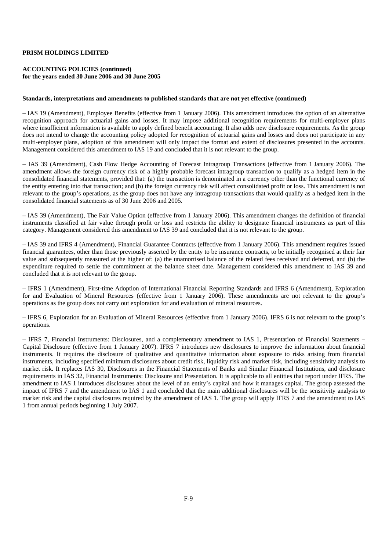### **ACCOUNTING POLICIES (continued) for the years ended 30 June 2006 and 30 June 2005**

#### **Standards, interpretations and amendments to published standards that are not yet effective (continued)**

– IAS 19 (Amendment), Employee Benefits (effective from 1 January 2006). This amendment introduces the option of an alternative recognition approach for actuarial gains and losses. It may impose additional recognition requirements for multi-employer plans where insufficient information is available to apply defined benefit accounting. It also adds new disclosure requirements. As the group does not intend to change the accounting policy adopted for recognition of actuarial gains and losses and does not participate in any multi-employer plans, adoption of this amendment will only impact the format and extent of disclosures presented in the accounts. Management considered this amendment to IAS 19 and concluded that it is not relevant to the group.

– IAS 39 (Amendment), Cash Flow Hedge Accounting of Forecast Intragroup Transactions (effective from 1 January 2006). The amendment allows the foreign currency risk of a highly probable forecast intragroup transaction to qualify as a hedged item in the consolidated financial statements, provided that: (a) the transaction is denominated in a currency other than the functional currency of the entity entering into that transaction; and (b) the foreign currency risk will affect consolidated profit or loss. This amendment is not relevant to the group's operations, as the group does not have any intragroup transactions that would qualify as a hedged item in the consolidated financial statements as of 30 June 2006 and 2005.

– IAS 39 (Amendment), The Fair Value Option (effective from 1 January 2006). This amendment changes the definition of financial instruments classified at fair value through profit or loss and restricts the ability to designate financial instruments as part of this category. Management considered this amendment to IAS 39 and concluded that it is not relevant to the group.

– IAS 39 and IFRS 4 (Amendment), Financial Guarantee Contracts (effective from 1 January 2006). This amendment requires issued financial guarantees, other than those previously asserted by the entity to be insurance contracts, to be initially recognised at their fair value and subsequently measured at the higher of: (a) the unamortised balance of the related fees received and deferred, and (b) the expenditure required to settle the commitment at the balance sheet date. Management considered this amendment to IAS 39 and concluded that it is not relevant to the group.

– IFRS 1 (Amendment), First-time Adoption of International Financial Reporting Standards and IFRS 6 (Amendment), Exploration for and Evaluation of Mineral Resources (effective from 1 January 2006). These amendments are not relevant to the group's operations as the group does not carry out exploration for and evaluation of mineral resources.

– IFRS 6, Exploration for an Evaluation of Mineral Resources (effective from 1 January 2006). IFRS 6 is not relevant to the group's operations.

– IFRS 7, Financial Instruments: Disclosures, and a complementary amendment to IAS 1, Presentation of Financial Statements – Capital Disclosure (effective from 1 January 2007). IFRS 7 introduces new disclosures to improve the information about financial instruments. It requires the disclosure of qualitative and quantitative information about exposure to risks arising from financial instruments, including specified minimum disclosures about credit risk, liquidity risk and market risk, including sensitivity analysis to market risk. It replaces IAS 30, Disclosures in the Financial Statements of Banks and Similar Financial Institutions, and disclosure requirements in IAS 32, Financial Instruments: Disclosure and Presentation. It is applicable to all entities that report under IFRS. The amendment to IAS 1 introduces disclosures about the level of an entity's capital and how it manages capital. The group assessed the impact of IFRS 7 and the amendment to IAS 1 and concluded that the main additional disclosures will be the sensitivity analysis to market risk and the capital disclosures required by the amendment of IAS 1. The group will apply IFRS 7 and the amendment to IAS 1 from annual periods beginning 1 July 2007.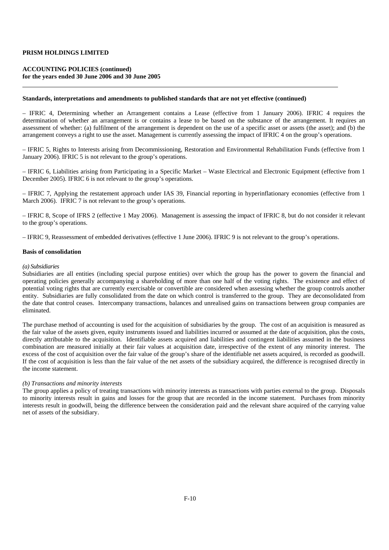### **ACCOUNTING POLICIES (continued) for the years ended 30 June 2006 and 30 June 2005**

#### **Standards, interpretations and amendments to published standards that are not yet effective (continued)**

– IFRIC 4, Determining whether an Arrangement contains a Lease (effective from 1 January 2006). IFRIC 4 requires the determination of whether an arrangement is or contains a lease to be based on the substance of the arrangement. It requires an assessment of whether: (a) fulfilment of the arrangement is dependent on the use of a specific asset or assets (the asset); and (b) the arrangement conveys a right to use the asset. Management is currently assessing the impact of IFRIC 4 on the group's operations.

– IFRIC 5, Rights to Interests arising from Decommissioning, Restoration and Environmental Rehabilitation Funds (effective from 1 January 2006). IFRIC 5 is not relevant to the group's operations.

– IFRIC 6, Liabilities arising from Participating in a Specific Market – Waste Electrical and Electronic Equipment (effective from 1 December 2005). IFRIC 6 is not relevant to the group's operations.

– IFRIC 7, Applying the restatement approach under IAS 39, Financial reporting in hyperinflationary economies (effective from 1 March 2006). IFRIC 7 is not relevant to the group's operations.

– IFRIC 8, Scope of IFRS 2 (effective 1 May 2006). Management is assessing the impact of IFRIC 8, but do not consider it relevant to the group's operations.

– IFRIC 9, Reassessment of embedded derivatives (effective 1 June 2006). IFRIC 9 is not relevant to the group's operations.

#### **Basis of consolidation**

#### *(a) Subsidiaries*

Subsidiaries are all entities (including special purpose entities) over which the group has the power to govern the financial and operating policies generally accompanying a shareholding of more than one half of the voting rights. The existence and effect of potential voting rights that are currently exercisable or convertible are considered when assessing whether the group controls another entity. Subsidiaries are fully consolidated from the date on which control is transferred to the group. They are deconsolidated from the date that control ceases. Intercompany transactions, balances and unrealised gains on transactions between group companies are eliminated.

The purchase method of accounting is used for the acquisition of subsidiaries by the group. The cost of an acquisition is measured as the fair value of the assets given, equity instruments issued and liabilities incurred or assumed at the date of acquisition, plus the costs, directly attributable to the acquisition. Identifiable assets acquired and liabilities and contingent liabilities assumed in the business combination are measured initially at their fair values at acquisition date, irrespective of the extent of any minority interest. The excess of the cost of acquisition over the fair value of the group's share of the identifiable net assets acquired, is recorded as goodwill. If the cost of acquisition is less than the fair value of the net assets of the subsidiary acquired, the difference is recognised directly in the income statement.

#### *(b) Transactions and minority interests*

The group applies a policy of treating transactions with minority interests as transactions with parties external to the group. Disposals to minority interests result in gains and losses for the group that are recorded in the income statement. Purchases from minority interests result in goodwill, being the difference between the consideration paid and the relevant share acquired of the carrying value net of assets of the subsidiary.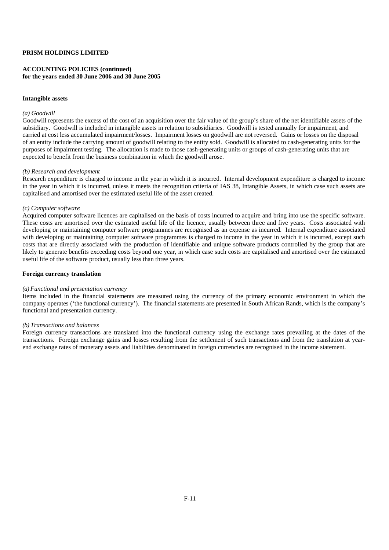### **ACCOUNTING POLICIES (continued) for the years ended 30 June 2006 and 30 June 2005**

#### **Intangible assets**

#### *(a) Goodwill*

Goodwill represents the excess of the cost of an acquisition over the fair value of the group's share of the net identifiable assets of the subsidiary. Goodwill is included in intangible assets in relation to subsidiaries. Goodwill is tested annually for impairment, and carried at cost less accumulated impairment/losses. Impairment losses on goodwill are not reversed. Gains or losses on the disposal of an entity include the carrying amount of goodwill relating to the entity sold. Goodwill is allocated to cash-generating units for the purposes of impairment testing. The allocation is made to those cash-generating units or groups of cash-generating units that are expected to benefit from the business combination in which the goodwill arose.

#### *(b) Research and development*

Research expenditure is charged to income in the year in which it is incurred. Internal development expenditure is charged to income in the year in which it is incurred, unless it meets the recognition criteria of IAS 38, Intangible Assets, in which case such assets are capitalised and amortised over the estimated useful life of the asset created.

#### *(c) Computer software*

Acquired computer software licences are capitalised on the basis of costs incurred to acquire and bring into use the specific software. These costs are amortised over the estimated useful life of the licence, usually between three and five years. Costs associated with developing or maintaining computer software programmes are recognised as an expense as incurred. Internal expenditure associated with developing or maintaining computer software programmes is charged to income in the year in which it is incurred, except such costs that are directly associated with the production of identifiable and unique software products controlled by the group that are likely to generate benefits exceeding costs beyond one year, in which case such costs are capitalised and amortised over the estimated useful life of the software product, usually less than three years.

#### **Foreign currency translation**

#### *(a) Functional and presentation currency*

Items included in the financial statements are measured using the currency of the primary economic environment in which the company operates ('the functional currency'). The financial statements are presented in South African Rands, which is the company's functional and presentation currency.

### *(b) Transactions and balances*

Foreign currency transactions are translated into the functional currency using the exchange rates prevailing at the dates of the transactions. Foreign exchange gains and losses resulting from the settlement of such transactions and from the translation at yearend exchange rates of monetary assets and liabilities denominated in foreign currencies are recognised in the income statement.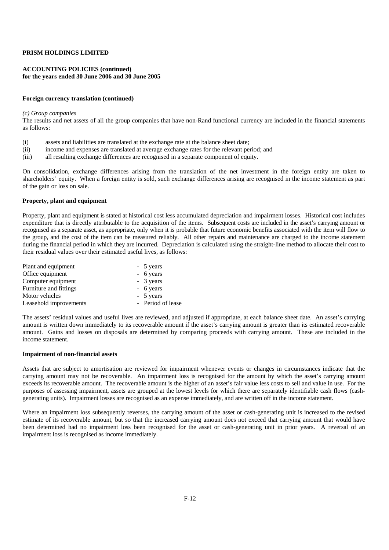### **ACCOUNTING POLICIES (continued) for the years ended 30 June 2006 and 30 June 2005**

#### **Foreign currency translation (continued)**

#### *(c) Group companies*

The results and net assets of all the group companies that have non-Rand functional currency are included in the financial statements as follows:

- (i) assets and liabilities are translated at the exchange rate at the balance sheet date;
- (ii) income and expenses are translated at average exchange rates for the relevant period; and
- (iii) all resulting exchange differences are recognised in a separate component of equity.

On consolidation, exchange differences arising from the translation of the net investment in the foreign entity are taken to shareholders' equity. When a foreign entity is sold, such exchange differences arising are recognised in the income statement as part of the gain or loss on sale.

#### **Property, plant and equipment**

Property, plant and equipment is stated at historical cost less accumulated depreciation and impairment losses. Historical cost includes expenditure that is directly attributable to the acquisition of the items. Subsequent costs are included in the asset's carrying amount or recognised as a separate asset, as appropriate, only when it is probable that future economic benefits associated with the item will flow to the group, and the cost of the item can be measured reliably. All other repairs and maintenance are charged to the income statement during the financial period in which they are incurred. Depreciation is calculated using the straight-line method to allocate their cost to their residual values over their estimated useful lives, as follows:

| Plant and equipment    | - 5 years         |
|------------------------|-------------------|
| Office equipment       | - 6 years         |
| Computer equipment     | - 3 years         |
| Furniture and fittings | - 6 years         |
| Motor vehicles         | - 5 years         |
| Leasehold improvements | - Period of lease |

The assets' residual values and useful lives are reviewed, and adjusted if appropriate, at each balance sheet date. An asset's carrying amount is written down immediately to its recoverable amount if the asset's carrying amount is greater than its estimated recoverable amount. Gains and losses on disposals are determined by comparing proceeds with carrying amount. These are included in the income statement.

#### **Impairment of non-financial assets**

Assets that are subject to amortisation are reviewed for impairment whenever events or changes in circumstances indicate that the carrying amount may not be recoverable. An impairment loss is recognised for the amount by which the asset's carrying amount exceeds its recoverable amount. The recoverable amount is the higher of an asset's fair value less costs to sell and value in use. For the purposes of assessing impairment, assets are grouped at the lowest levels for which there are separately identifiable cash flows (cashgenerating units). Impairment losses are recognised as an expense immediately, and are written off in the income statement.

Where an impairment loss subsequently reverses, the carrying amount of the asset or cash-generating unit is increased to the revised estimate of its recoverable amount, but so that the increased carrying amount does not exceed that carrying amount that would have been determined had no impairment loss been recognised for the asset or cash-generating unit in prior years. A reversal of an impairment loss is recognised as income immediately.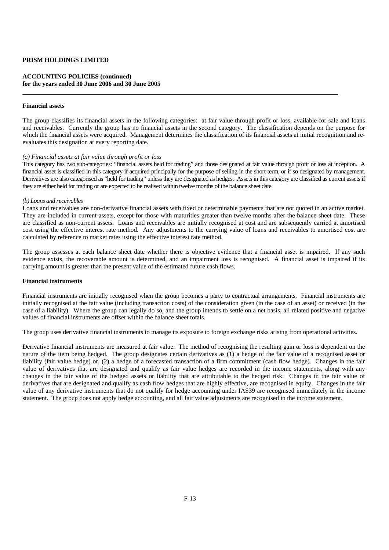### **ACCOUNTING POLICIES (continued) for the years ended 30 June 2006 and 30 June 2005**

#### **Financial assets**

The group classifies its financial assets in the following categories: at fair value through profit or loss, available-for-sale and loans and receivables. Currently the group has no financial assets in the second category. The classification depends on the purpose for which the financial assets were acquired. Management determines the classification of its financial assets at initial recognition and reevaluates this designation at every reporting date.

#### *(a) Financial assets at fair value through profit or loss*

This category has two sub-categories: "financial assets held for trading" and those designated at fair value through profit or loss at inception. A financial asset is classified in this category if acquired principally for the purpose of selling in the short term, or if so designated by management. Derivatives are also categorised as "held for trading" unless they are designated as hedges. Assets in this category are classified as current assets if they are either held for trading or are expected to be realised within twelve months of the balance sheet date.

#### *(b) Loans and receivables*

Loans and receivables are non-derivative financial assets with fixed or determinable payments that are not quoted in an active market. They are included in current assets, except for those with maturities greater than twelve months after the balance sheet date. These are classified as non-current assets. Loans and receivables are initially recognised at cost and are subsequently carried at amortised cost using the effective interest rate method. Any adjustments to the carrying value of loans and receivables to amortised cost are calculated by reference to market rates using the effective interest rate method.

The group assesses at each balance sheet date whether there is objective evidence that a financial asset is impaired. If any such evidence exists, the recoverable amount is determined, and an impairment loss is recognised. A financial asset is impaired if its carrying amount is greater than the present value of the estimated future cash flows.

#### **Financial instruments**

Financial instruments are initially recognised when the group becomes a party to contractual arrangements. Financial instruments are initially recognised at the fair value (including transaction costs) of the consideration given (in the case of an asset) or received (in the case of a liability). Where the group can legally do so, and the group intends to settle on a net basis, all related positive and negative values of financial instruments are offset within the balance sheet totals.

The group uses derivative financial instruments to manage its exposure to foreign exchange risks arising from operational activities.

Derivative financial instruments are measured at fair value. The method of recognising the resulting gain or loss is dependent on the nature of the item being hedged. The group designates certain derivatives as (1) a hedge of the fair value of a recognised asset or liability (fair value hedge) or, (2) a hedge of a forecasted transaction of a firm commitment (cash flow hedge). Changes in the fair value of derivatives that are designated and qualify as fair value hedges are recorded in the income statements, along with any changes in the fair value of the hedged assets or liability that are attributable to the hedged risk. Changes in the fair value of derivatives that are designated and qualify as cash flow hedges that are highly effective, are recognised in equity. Changes in the fair value of any derivative instruments that do not qualify for hedge accounting under IAS39 are recognised immediately in the income statement. The group does not apply hedge accounting, and all fair value adjustments are recognised in the income statement.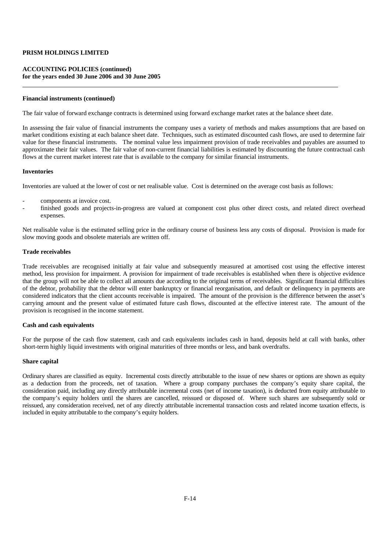### **ACCOUNTING POLICIES (continued) for the years ended 30 June 2006 and 30 June 2005**

#### **Financial instruments (continued)**

The fair value of forward exchange contracts is determined using forward exchange market rates at the balance sheet date.

In assessing the fair value of financial instruments the company uses a variety of methods and makes assumptions that are based on market conditions existing at each balance sheet date. Techniques, such as estimated discounted cash flows, are used to determine fair value for these financial instruments. The nominal value less impairment provision of trade receivables and payables are assumed to approximate their fair values. The fair value of non-current financial liabilities is estimated by discounting the future contractual cash flows at the current market interest rate that is available to the company for similar financial instruments.

#### **Inventories**

Inventories are valued at the lower of cost or net realisable value. Cost is determined on the average cost basis as follows:

- components at invoice cost.
- finished goods and projects-in-progress are valued at component cost plus other direct costs, and related direct overhead expenses.

Net realisable value is the estimated selling price in the ordinary course of business less any costs of disposal. Provision is made for slow moving goods and obsolete materials are written off.

#### **Trade receivables**

Trade receivables are recognised initially at fair value and subsequently measured at amortised cost using the effective interest method, less provision for impairment. A provision for impairment of trade receivables is established when there is objective evidence that the group will not be able to collect all amounts due according to the original terms of receivables. Significant financial difficulties of the debtor, probability that the debtor will enter bankruptcy or financial reorganisation, and default or delinquency in payments are considered indicators that the client accounts receivable is impaired. The amount of the provision is the difference between the asset's carrying amount and the present value of estimated future cash flows, discounted at the effective interest rate. The amount of the provision is recognised in the income statement.

### **Cash and cash equivalents**

For the purpose of the cash flow statement, cash and cash equivalents includes cash in hand, deposits held at call with banks, other short-term highly liquid investments with original maturities of three months or less, and bank overdrafts.

#### **Share capital**

Ordinary shares are classified as equity. Incremental costs directly attributable to the issue of new shares or options are shown as equity as a deduction from the proceeds, net of taxation. Where a group company purchases the company's equity share capital, the consideration paid, including any directly attributable incremental costs (net of income taxation), is deducted from equity attributable to the company's equity holders until the shares are cancelled, reissued or disposed of. Where such shares are subsequently sold or reissued, any consideration received, net of any directly attributable incremental transaction costs and related income taxation effects, is included in equity attributable to the company's equity holders.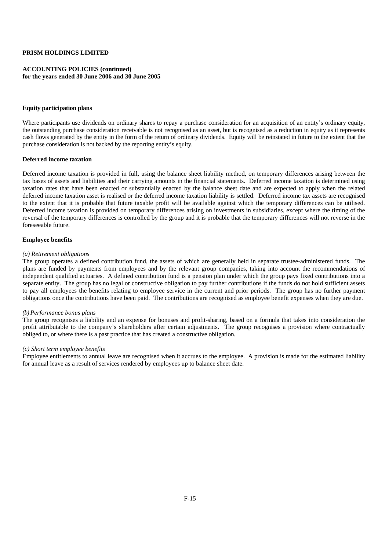### **ACCOUNTING POLICIES (continued) for the years ended 30 June 2006 and 30 June 2005**

#### **Equity participation plans**

Where participants use dividends on ordinary shares to repay a purchase consideration for an acquisition of an entity's ordinary equity, the outstanding purchase consideration receivable is not recognised as an asset, but is recognised as a reduction in equity as it represents cash flows generated by the entity in the form of the return of ordinary dividends. Equity will be reinstated in future to the extent that the purchase consideration is not backed by the reporting entity's equity.

#### **Deferred income taxation**

Deferred income taxation is provided in full, using the balance sheet liability method, on temporary differences arising between the tax bases of assets and liabilities and their carrying amounts in the financial statements. Deferred income taxation is determined using taxation rates that have been enacted or substantially enacted by the balance sheet date and are expected to apply when the related deferred income taxation asset is realised or the deferred income taxation liability is settled. Deferred income tax assets are recognised to the extent that it is probable that future taxable profit will be available against which the temporary differences can be utilised. Deferred income taxation is provided on temporary differences arising on investments in subsidiaries, except where the timing of the reversal of the temporary differences is controlled by the group and it is probable that the temporary differences will not reverse in the foreseeable future.

#### **Employee benefits**

#### *(a) Retirement obligations*

The group operates a defined contribution fund, the assets of which are generally held in separate trustee-administered funds. The plans are funded by payments from employees and by the relevant group companies, taking into account the recommendations of independent qualified actuaries. A defined contribution fund is a pension plan under which the group pays fixed contributions into a separate entity. The group has no legal or constructive obligation to pay further contributions if the funds do not hold sufficient assets to pay all employees the benefits relating to employee service in the current and prior periods. The group has no further payment obligations once the contributions have been paid. The contributions are recognised as employee benefit expenses when they are due.

### *(b) Performance bonus plans*

The group recognises a liability and an expense for bonuses and profit-sharing, based on a formula that takes into consideration the profit attributable to the company's shareholders after certain adjustments. The group recognises a provision where contractually obliged to, or where there is a past practice that has created a constructive obligation.

#### *(c) Short term employee benefits*

Employee entitlements to annual leave are recognised when it accrues to the employee. A provision is made for the estimated liability for annual leave as a result of services rendered by employees up to balance sheet date.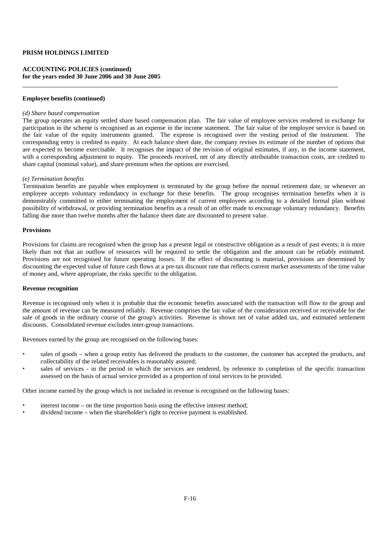### **ACCOUNTING POLICIES (continued) for the years ended 30 June 2006 and 30 June 2005**

#### **Employee benefits (continued)**

#### *(d) Share based compensation*

The group operates an equity settled share based compensation plan. The fair value of employee services rendered in exchange for participation in the scheme is recognised as an expense in the income statement. The fair value of the employee service is based on the fair value of the equity instruments granted. The expense is recognised over the vesting period of the instrument. The corresponding entry is credited to equity. At each balance sheet date, the company revises its estimate of the number of options that are expected to become exercisable. It recognises the impact of the revision of original estimates, if any, in the income statement, with a corresponding adjustment to equity. The proceeds received, net of any directly attributable transaction costs, are credited to share capital (nominal value), and share premium when the options are exercised.

#### *(e) Termination benefits*

Termination benefits are payable when employment is terminated by the group before the normal retirement date, or whenever an employee accepts voluntary redundancy in exchange for these benefits. The group recognises termination benefits when it is demonstrably committed to either terminating the employment of current employees according to a detailed formal plan without possibility of withdrawal, or providing termination benefits as a result of an offer made to encourage voluntary redundancy. Benefits falling due more than twelve months after the balance sheet date are discounted to present value.

#### **Provisions**

Provisions for claims are recognised when the group has a present legal or constructive obligation as a result of past events; it is more likely than not that an outflow of resources will be required to settle the obligation and the amount can be reliably estimated. Provisions are not recognised for future operating losses. If the effect of discounting is material, provisions are determined by discounting the expected value of future cash flows at a pre-tax discount rate that reflects current market assessments of the time value of money and, where appropriate, the risks specific to the obligation.

#### **Revenue recognition**

Revenue is recognised only when it is probable that the economic benefits associated with the transaction will flow to the group and the amount of revenue can be measured reliably. Revenue comprises the fair value of the consideration received or receivable for the sale of goods in the ordinary course of the group's activities. Revenue is shown net of value added tax, and estimated settlement discounts. Consolidated revenue excludes inter-group transactions.

Revenues earned by the group are recognised on the following bases:

- sales of goods when a group entity has delivered the products to the customer, the customer has accepted the products, and collectability of the related receivables is reasonably assured;
- sales of services in the period in which the services are rendered, by reference to completion of the specific transaction assessed on the basis of actual service provided as a proportion of total services to be provided.

Other income earned by the group which is not included in revenue is recognised on the following bases:

- interest income on the time proportion basis using the effective interest method;
- dividend income when the shareholder's right to receive payment is established.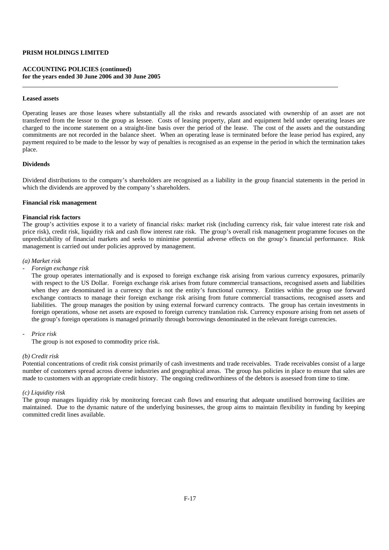### **ACCOUNTING POLICIES (continued) for the years ended 30 June 2006 and 30 June 2005**

#### **Leased assets**

Operating leases are those leases where substantially all the risks and rewards associated with ownership of an asset are not transferred from the lessor to the group as lessee. Costs of leasing property, plant and equipment held under operating leases are charged to the income statement on a straight-line basis over the period of the lease. The cost of the assets and the outstanding commitments are not recorded in the balance sheet. When an operating lease is terminated before the lease period has expired, any payment required to be made to the lessor by way of penalties is recognised as an expense in the period in which the termination takes place.

#### **Dividends**

Dividend distributions to the company's shareholders are recognised as a liability in the group financial statements in the period in which the dividends are approved by the company's shareholders.

#### **Financial risk management**

#### **Financial risk factors**

The group's activities expose it to a variety of financial risks: market risk (including currency risk, fair value interest rate risk and price risk), credit risk, liquidity risk and cash flow interest rate risk. The group's overall risk management programme focuses on the unpredictability of financial markets and seeks to minimise potential adverse effects on the group's financial performance. Risk management is carried out under policies approved by management.

### *(a) Market risk*

### *- Foreign exchange risk*

 The group operates internationally and is exposed to foreign exchange risk arising from various currency exposures, primarily with respect to the US Dollar. Foreign exchange risk arises from future commercial transactions, recognised assets and liabilities when they are denominated in a currency that is not the entity's functional currency. Entities within the group use forward exchange contracts to manage their foreign exchange risk arising from future commercial transactions, recognised assets and liabilities. The group manages the position by using external forward currency contracts. The group has certain investments in foreign operations, whose net assets are exposed to foreign currency translation risk. Currency exposure arising from net assets of the group's foreign operations is managed primarily through borrowings denominated in the relevant foreign currencies.

#### *- Price risk*

The group is not exposed to commodity price risk.

### *(b) Credit risk*

Potential concentrations of credit risk consist primarily of cash investments and trade receivables. Trade receivables consist of a large number of customers spread across diverse industries and geographical areas. The group has policies in place to ensure that sales are made to customers with an appropriate credit history. The ongoing creditworthiness of the debtors is assessed from time to time.

#### *(c) Liquidity risk*

The group manages liquidity risk by monitoring forecast cash flows and ensuring that adequate unutilised borrowing facilities are maintained. Due to the dynamic nature of the underlying businesses, the group aims to maintain flexibility in funding by keeping committed credit lines available.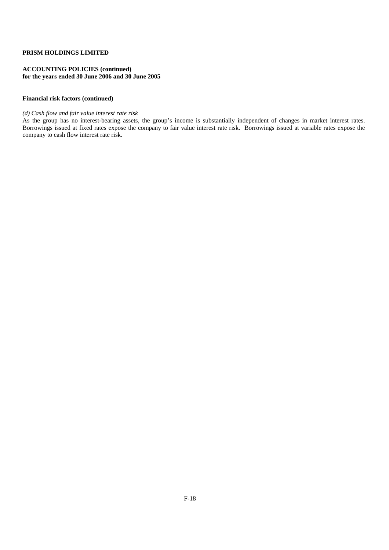### **ACCOUNTING POLICIES (continued) for the years ended 30 June 2006 and 30 June 2005**

### **Financial risk factors (continued)**

### *(d) Cash flow and fair value interest rate risk*

As the group has no interest-bearing assets, the group's income is substantially independent of changes in market interest rates. Borrowings issued at fixed rates expose the company to fair value interest rate risk. Borrowings issued at variable rates expose the company to cash flow interest rate risk.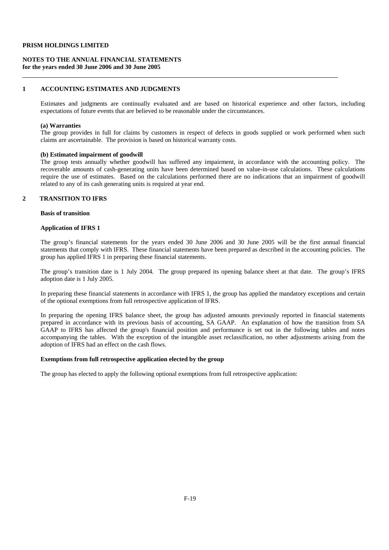### **NOTES TO THE ANNUAL FINANCIAL STATEMENTS for the years ended 30 June 2006 and 30 June 2005**

# **1 ACCOUNTING ESTIMATES AND JUDGMENTS**

 Estimates and judgments are continually evaluated and are based on historical experience and other factors, including expectations of future events that are believed to be reasonable under the circumstances.

#### **(a) Warranties**

The group provides in full for claims by customers in respect of defects in goods supplied or work performed when such claims are ascertainable. The provision is based on historical warranty costs.

#### **(b) Estimated impairment of goodwill**

The group tests annually whether goodwill has suffered any impairment, in accordance with the accounting policy. The recoverable amounts of cash-generating units have been determined based on value-in-use calculations. These calculations require the use of estimates. Based on the calculations performed there are no indications that an impairment of goodwill related to any of its cash generating units is required at year end.

# **2 TRANSITION TO IFRS**

### **Basis of transition**

#### **Application of IFRS 1**

 The group's financial statements for the years ended 30 June 2006 and 30 June 2005 will be the first annual financial statements that comply with IFRS. These financial statements have been prepared as described in the accounting policies. The group has applied IFRS 1 in preparing these financial statements.

 The group's transition date is 1 July 2004. The group prepared its opening balance sheet at that date. The group's IFRS adoption date is 1 July 2005.

 In preparing these financial statements in accordance with IFRS 1, the group has applied the mandatory exceptions and certain of the optional exemptions from full retrospective application of IFRS.

 In preparing the opening IFRS balance sheet, the group has adjusted amounts previously reported in financial statements prepared in accordance with its previous basis of accounting, SA GAAP. An explanation of how the transition from SA GAAP to IFRS has affected the group's financial position and performance is set out in the following tables and notes accompanying the tables. With the exception of the intangible asset reclassification, no other adjustments arising from the adoption of IFRS had an effect on the cash flows.

#### **Exemptions from full retrospective application elected by the group**

The group has elected to apply the following optional exemptions from full retrospective application: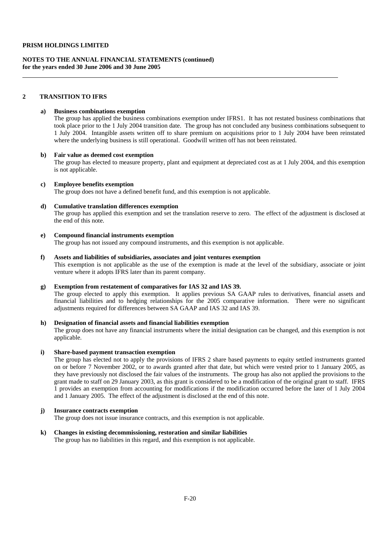#### **NOTES TO THE ANNUAL FINANCIAL STATEMENTS (continued) for the years ended 30 June 2006 and 30 June 2005**

#### **2 TRANSITION TO IFRS**

#### **a) Business combinations exemption**

 The group has applied the business combinations exemption under IFRS1. It has not restated business combinations that took place prior to the 1 July 2004 transition date. The group has not concluded any business combinations subsequent to 1 July 2004. Intangible assets written off to share premium on acquisitions prior to 1 July 2004 have been reinstated where the underlying business is still operational. Goodwill written off has not been reinstated.

#### **b) Fair value as deemed cost exemption**

The group has elected to measure property, plant and equipment at depreciated cost as at 1 July 2004, and this exemption is not applicable.

#### **c) Employee benefits exemption**

The group does not have a defined benefit fund, and this exemption is not applicable.

#### **d) Cumulative translation differences exemption**

 The group has applied this exemption and set the translation reserve to zero. The effect of the adjustment is disclosed at the end of this note.

#### **e) Compound financial instruments exemption**

The group has not issued any compound instruments, and this exemption is not applicable.

#### **f) Assets and liabilities of subsidiaries, associates and joint ventures exemption**

 This exemption is not applicable as the use of the exemption is made at the level of the subsidiary, associate or joint venture where it adopts IFRS later than its parent company.

#### **g) Exemption from restatement of comparatives for IAS 32 and IAS 39.**

 The group elected to apply this exemption. It applies previous SA GAAP rules to derivatives, financial assets and financial liabilities and to hedging relationships for the 2005 comparative information. There were no significant adjustments required for differences between SA GAAP and IAS 32 and IAS 39.

#### **h) Designation of financial assets and financial liabilities exemption**

 The group does not have any financial instruments where the initial designation can be changed, and this exemption is not applicable.

#### **i) Share-based payment transaction exemption**

The group has elected not to apply the provisions of IFRS 2 share based payments to equity settled instruments granted on or before 7 November 2002, or to awards granted after that date, but which were vested prior to 1 January 2005, as they have previously not disclosed the fair values of the instruments. The group has also not applied the provisions to the grant made to staff on 29 January 2003, as this grant is considered to be a modification of the original grant to staff. IFRS 1 provides an exemption from accounting for modifications if the modification occurred before the later of 1 July 2004 and 1 January 2005. The effect of the adjustment is disclosed at the end of this note.

#### **j) Insurance contracts exemption**

The group does not issue insurance contracts, and this exemption is not applicable.

#### **k) Changes in existing decommissioning, restoration and similar liabilities**

The group has no liabilities in this regard, and this exemption is not applicable.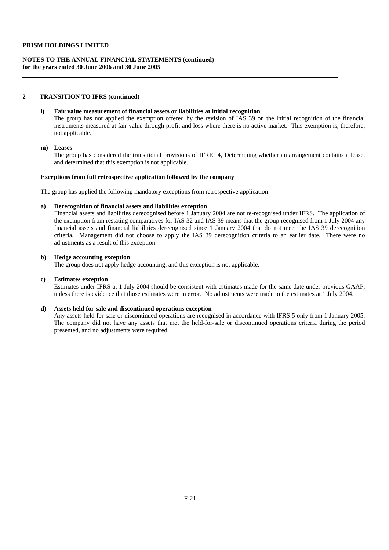#### **NOTES TO THE ANNUAL FINANCIAL STATEMENTS (continued) for the years ended 30 June 2006 and 30 June 2005**

#### **2 TRANSITION TO IFRS (continued)**

### **l) Fair value measurement of financial assets or liabilities at initial recognition**

 The group has not applied the exemption offered by the revision of IAS 39 on the initial recognition of the financial instruments measured at fair value through profit and loss where there is no active market. This exemption is, therefore, not applicable.

#### **m) Leases**

The group has considered the transitional provisions of IFRIC 4, Determining whether an arrangement contains a lease, and determined that this exemption is not applicable.

#### **Exceptions from full retrospective application followed by the company**

The group has applied the following mandatory exceptions from retrospective application:

#### **a) Derecognition of financial assets and liabilities exception**

 Financial assets and liabilities derecognised before 1 January 2004 are not re-recognised under IFRS. The application of the exemption from restating comparatives for IAS 32 and IAS 39 means that the group recognised from 1 July 2004 any financial assets and financial liabilities derecognised since 1 January 2004 that do not meet the IAS 39 derecognition criteria. Management did not choose to apply the IAS 39 derecognition criteria to an earlier date. There were no adjustments as a result of this exception.

#### **b) Hedge accounting exception**

The group does not apply hedge accounting, and this exception is not applicable.

#### **c) Estimates exception**

 Estimates under IFRS at 1 July 2004 should be consistent with estimates made for the same date under previous GAAP, unless there is evidence that those estimates were in error. No adjustments were made to the estimates at 1 July 2004.

#### **d) Assets held for sale and discontinued operations exception**

 Any assets held for sale or discontinued operations are recognised in accordance with IFRS 5 only from 1 January 2005. The company did not have any assets that met the held-for-sale or discontinued operations criteria during the period presented, and no adjustments were required.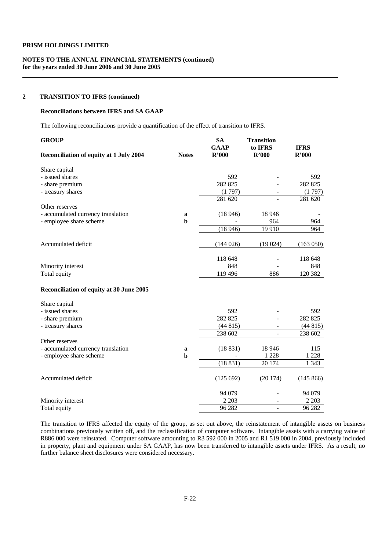### **NOTES TO THE ANNUAL FINANCIAL STATEMENTS (continued) for the years ended 30 June 2006 and 30 June 2005**

#### **2 TRANSITION TO IFRS (continued)**

#### **Reconciliations between IFRS and SA GAAP**

The following reconciliations provide a quantification of the effect of transition to IFRS.

| <b>GROUP</b><br>Reconciliation of equity at 1 July 2004 | <b>Notes</b> | <b>SA</b><br><b>GAAP</b><br>R'000 | <b>Transition</b><br>to IFRS<br>R'000 | <b>IFRS</b><br>R'000 |
|---------------------------------------------------------|--------------|-----------------------------------|---------------------------------------|----------------------|
| Share capital                                           |              |                                   |                                       |                      |
| - issued shares                                         |              | 592                               |                                       | 592                  |
| - share premium                                         |              | 282 825                           |                                       | 282 825              |
| - treasury shares                                       |              | (1797)                            |                                       | (1797)               |
|                                                         |              | 281 620                           |                                       | 281 620              |
| Other reserves                                          |              |                                   |                                       |                      |
| - accumulated currency translation                      | a            | (18946)                           | 18 9 46                               |                      |
| - employee share scheme                                 | $\mathbf b$  |                                   | 964                                   | 964                  |
|                                                         |              | (18946)                           | 19 9 10                               | 964                  |
| Accumulated deficit                                     |              | (144026)                          | (19024)                               | (163 050)            |
|                                                         |              |                                   |                                       |                      |
|                                                         |              | 118 648                           |                                       | 118 648              |
| Minority interest                                       |              | 848                               |                                       | 848                  |
| Total equity                                            |              | 119 496                           | 886                                   | 120 382              |
| Reconciliation of equity at 30 June 2005                |              |                                   |                                       |                      |
| Share capital                                           |              |                                   |                                       |                      |
| - issued shares                                         |              | 592                               |                                       | 592                  |
| - share premium                                         |              | 282 825                           |                                       | 282 825              |
| - treasury shares                                       |              | (44815)                           | $\blacksquare$                        | (44815)              |
|                                                         |              | 238 602                           | $\overline{a}$                        | 238 602              |
| Other reserves                                          |              |                                   |                                       |                      |
| - accumulated currency translation                      | a            | (18831)                           | 18 9 46                               | 115                  |
| - employee share scheme                                 | $\mathbf b$  |                                   | 1 2 2 8                               | 1 2 2 8              |
|                                                         |              | (18831)                           | 20 174                                | 1 3 4 3              |
| Accumulated deficit                                     |              | (125 692)                         | (20174)                               | (145 866)            |
|                                                         |              | 94 0 79                           |                                       | 94 079               |
| Minority interest                                       |              | 2 2 0 3                           |                                       | 2 2 0 3              |
| Total equity                                            |              | 96 282                            | $\overline{a}$                        | 96 282               |

The transition to IFRS affected the equity of the group, as set out above, the reinstatement of intangible assets on business combinations previously written off, and the reclassification of computer software. Intangible assets with a carrying value of R886 000 were reinstated. Computer software amounting to R3 592 000 in 2005 and R1 519 000 in 2004, previously included in property, plant and equipment under SA GAAP, has now been transferred to intangible assets under IFRS. As a result, no further balance sheet disclosures were considered necessary.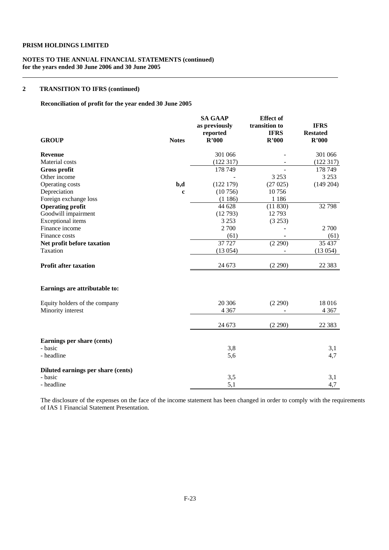### **NOTES TO THE ANNUAL FINANCIAL STATEMENTS (continued) for the years ended 30 June 2006 and 30 June 2005**

### **2 TRANSITION TO IFRS (continued)**

### **Reconciliation of profit for the year ended 30 June 2005**

| <b>GROUP</b>                       | <b>Notes</b> | <b>SA GAAP</b><br>as previously<br>reported<br>R'000 | <b>Effect</b> of<br>transition to<br><b>IFRS</b><br>R'000 | <b>IFRS</b><br><b>Restated</b><br>R'000 |
|------------------------------------|--------------|------------------------------------------------------|-----------------------------------------------------------|-----------------------------------------|
|                                    |              |                                                      |                                                           |                                         |
| <b>Revenue</b>                     |              | 301 066                                              |                                                           | 301 066                                 |
| <b>Material</b> costs              |              | (122317)                                             |                                                           | (122317)                                |
| <b>Gross profit</b>                |              | 178 749                                              |                                                           | 178 749                                 |
| Other income                       |              |                                                      | 3 2 5 3                                                   | 3 2 5 3                                 |
| Operating costs                    | b,d          | (122179)                                             | (27025)                                                   | (149 204)                               |
| Depreciation                       | $\mathbf c$  | (10756)                                              | 10756                                                     |                                         |
| Foreign exchange loss              |              | (1186)                                               | 1 1 8 6                                                   |                                         |
| <b>Operating profit</b>            |              | 44 628                                               | (11830)                                                   | 32798                                   |
| Goodwill impairment                |              | (12793)                                              | 12793                                                     |                                         |
| <b>Exceptional</b> items           |              | 3 2 5 3                                              | (3 253)                                                   |                                         |
| Finance income                     |              | 2 700                                                |                                                           | 2 700                                   |
| Finance costs                      |              | (61)                                                 |                                                           | (61)                                    |
| Net profit before taxation         |              | 37 7 27                                              | (2 290)                                                   | 35 437                                  |
| Taxation                           |              | (13054)                                              |                                                           | (13054)                                 |
| <b>Profit after taxation</b>       |              | 24 673                                               | (2 290)                                                   | 22 3 8 3                                |
| Earnings are attributable to:      |              |                                                      |                                                           |                                         |
| Equity holders of the company      |              | 20 30 6                                              | (2 290)                                                   | 18016                                   |
| Minority interest                  |              | 4 3 6 7                                              |                                                           | 4 3 6 7                                 |
|                                    |              | 24 673                                               | (2 290)                                                   | 22 3 8 3                                |
| Earnings per share (cents)         |              |                                                      |                                                           |                                         |
| - basic                            |              | 3,8                                                  |                                                           | 3,1                                     |
| - headline                         |              | 5,6                                                  |                                                           | 4,7                                     |
| Diluted earnings per share (cents) |              |                                                      |                                                           |                                         |
| - basic                            |              | 3,5                                                  |                                                           | 3,1                                     |
| - headline                         |              | 5,1                                                  |                                                           | 4,7                                     |

The disclosure of the expenses on the face of the income statement has been changed in order to comply with the requirements of IAS 1 Financial Statement Presentation.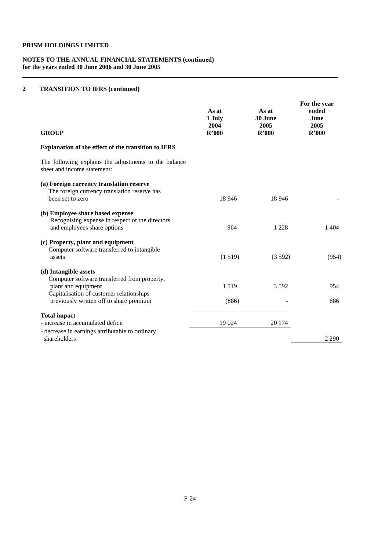#### **NOTES TO THE ANNUAL FINANCIAL STATEMENTS (continued) for the years ended 30 June 2006 and 30 June 2005**

### **2 TRANSITION TO IFRS (continued)**

| <b>GROUP</b>                                                                                                                                                                        | As at<br>1 July<br>2004<br>R'000 | As at<br>30 June<br>2005<br>R'000 | For the year<br>ended<br>June<br>2005<br>R'000 |
|-------------------------------------------------------------------------------------------------------------------------------------------------------------------------------------|----------------------------------|-----------------------------------|------------------------------------------------|
| Explanation of the effect of the transition to IFRS                                                                                                                                 |                                  |                                   |                                                |
| The following explains the adjustments to the balance<br>sheet and income statement:                                                                                                |                                  |                                   |                                                |
| (a) Foreign currency translation reserve<br>The foreign currency translation reserve has<br>been set to zero                                                                        | 18 9 46                          | 18 9 46                           |                                                |
| (b) Employee share based expense<br>Recognising expense in respect of the directors<br>and employees share options                                                                  | 964                              | 1 2 2 8                           | 1404                                           |
| (c) Property, plant and equipment<br>Computer software transferred to intangible<br>assets                                                                                          | (1519)                           | (3592)                            | (954)                                          |
| (d) Intangible assets<br>Computer software transferred from property,<br>plant and equipment<br>Capitalisation of customer relationships<br>previously written off to share premium | 1519<br>(886)                    | 3592                              | 954<br>886                                     |
| <b>Total impact</b><br>- increase in accumulated deficit                                                                                                                            | 19 024                           | 20 174                            |                                                |
| - decrease in earnings attributable to ordinary<br>shareholders                                                                                                                     |                                  |                                   | 2 2 9 0                                        |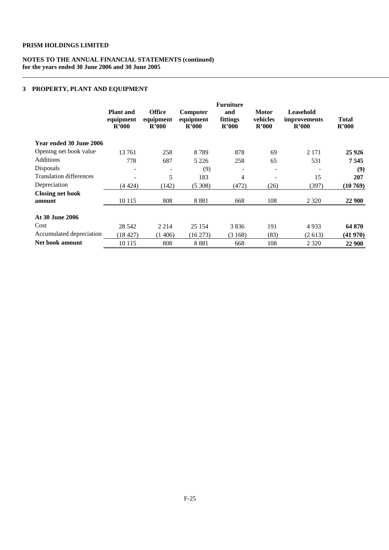### **NOTES TO THE ANNUAL FINANCIAL STATEMENTS (continued) for the years ended 30 June 2006 and 30 June 2005**

### **3 PROPERTY, PLANT AND EQUIPMENT**

|                                | <b>Plant</b> and<br>equipment<br>R'000 | <b>Office</b><br>equipment<br>R'000 | Computer<br>equipment<br>R'000 | <b>Furniture</b><br>and<br>fittings<br>R'000 | <b>Motor</b><br>vehicles<br>R'000 | Leasehold<br><i>improvements</i><br>R'000 | <b>Total</b><br>R'000 |
|--------------------------------|----------------------------------------|-------------------------------------|--------------------------------|----------------------------------------------|-----------------------------------|-------------------------------------------|-----------------------|
| Year ended 30 June 2006        |                                        |                                     |                                |                                              |                                   |                                           |                       |
| Opening net book value         | 13761                                  | 258                                 | 8789                           | 878                                          | 69                                | 2 1 7 1                                   | 25 9 26               |
| <b>Additions</b>               | 778                                    | 687                                 | 5 2 2 6                        | 258                                          | 65                                | 531                                       | 7545                  |
| Disposals                      |                                        | -                                   | (9)                            | ۰                                            | $\overline{\phantom{0}}$          | $\overline{\phantom{a}}$                  | (9)                   |
| <b>Translation differences</b> |                                        | 5                                   | 183                            | 4                                            | -                                 | 15                                        | 207                   |
| Depreciation                   | (4424)                                 | (142)                               | (5308)                         | (472)                                        | (26)                              | (397)                                     | (10769)               |
| <b>Closing net book</b>        |                                        |                                     |                                |                                              |                                   |                                           |                       |
| amount                         | 10 1 15                                | 808                                 | 8881                           | 668                                          | 108                               | 2 3 2 0                                   | 22 900                |
| <b>At 30 June 2006</b>         |                                        |                                     |                                |                                              |                                   |                                           |                       |
| Cost                           | 28 542                                 | 2 2 1 4                             | 25 154                         | 3836                                         | 191                               | 4933                                      | 64 870                |
| Accumulated depreciation       | (18427)                                | (1406)                              | $(16\,273)$                    | (3168)                                       | (83)                              | (2613)                                    | (41970)               |
| Net book amount                | 10 1 15                                | 808                                 | 8881                           | 668                                          | 108                               | 2 3 2 0                                   | 22 900                |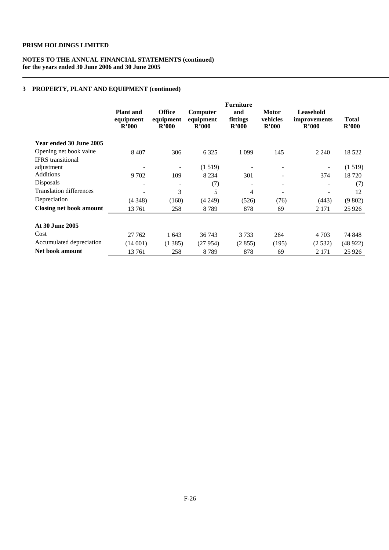### **NOTES TO THE ANNUAL FINANCIAL STATEMENTS (continued) for the years ended 30 June 2006 and 30 June 2005**

### **3 PROPERTY, PLANT AND EQUIPMENT (continued)**

|                                | <b>Plant</b> and<br>equipment<br>R'000 | <b>Office</b><br>equipment<br>R'000 | Computer<br>equipment<br>R'000 | <b>Furniture</b><br>and<br>fittings<br>R'000 | <b>Motor</b><br>vehicles<br>R'000 | Leasehold<br><i>improvements</i><br>R'000 | <b>Total</b><br>R'000 |
|--------------------------------|----------------------------------------|-------------------------------------|--------------------------------|----------------------------------------------|-----------------------------------|-------------------------------------------|-----------------------|
| Year ended 30 June 2005        |                                        |                                     |                                |                                              |                                   |                                           |                       |
| Opening net book value         | 8 4 0 7                                | 306                                 | 6 3 2 5                        | 1 0 9 9                                      | 145                               | 2 2 4 0                                   | 18 5 22               |
| <b>IFRS</b> transitional       |                                        |                                     |                                |                                              |                                   |                                           |                       |
| adjustment                     |                                        |                                     | (1519)                         |                                              |                                   | $\overline{\phantom{a}}$                  | (1519)                |
| Additions                      | 9 702                                  | 109                                 | 8 2 3 4                        | 301                                          |                                   | 374                                       | 18 7 20               |
| Disposals                      |                                        | $\overline{\phantom{a}}$            | (7)                            | ۰                                            |                                   |                                           | (7)                   |
| <b>Translation differences</b> |                                        | 3                                   | 5                              | 4                                            |                                   |                                           | 12                    |
| Depreciation                   | (4348)                                 | (160)                               | (4 249)                        | (526)                                        | (76)                              | (443)                                     | (9802)                |
| <b>Closing net book amount</b> | 13761                                  | 258                                 | 8789                           | 878                                          | 69                                | 2 1 7 1                                   | 25 9 26               |
| At 30 June 2005                |                                        |                                     |                                |                                              |                                   |                                           |                       |
| Cost                           | 27 762                                 | 1643                                | 36 743                         | 3 7 3 3                                      | 264                               | 4 7 0 3                                   | 74 848                |
| Accumulated depreciation       | (14001)                                | (1385)                              | (27954)                        | (2855)                                       | (195)                             | (2532)                                    | (48922)               |
| Net book amount                | 13761                                  | 258                                 | 8789                           | 878                                          | 69                                | 2 1 7 1                                   | 25 9 26               |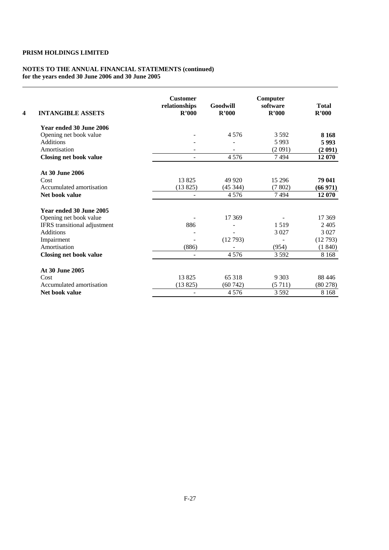#### **NOTES TO THE ANNUAL FINANCIAL STATEMENTS (continued) for the years ended 30 June 2006 and 30 June 2005**

| 4 | <b>INTANGIBLE ASSETS</b>      | <b>Customer</b><br>relationships<br>R'000 | Goodwill<br>R'000 | Computer<br>software<br>R'000 | <b>Total</b><br>R'000 |
|---|-------------------------------|-------------------------------------------|-------------------|-------------------------------|-----------------------|
|   | Year ended 30 June 2006       |                                           |                   |                               |                       |
|   | Opening net book value        |                                           | 4576              | 3592                          | 8 1 6 8               |
|   | <b>Additions</b>              |                                           |                   | 5993                          | 5993                  |
|   | Amortisation                  |                                           |                   | (2 091)                       | (2 091)               |
|   | <b>Closing net book value</b> |                                           | 4576              | 7494                          | 12 070                |
|   | At 30 June 2006               |                                           |                   |                               |                       |
|   | Cost                          | 13825                                     | 49 9 20           | 15 29 6                       | 79 041                |
|   | Accumulated amortisation      | (13825)                                   | (45344)           | (7802)                        | (66971)               |
|   | Net book value                |                                           | 4576              | 7494                          | 12 070                |
|   | Year ended 30 June 2005       |                                           |                   |                               |                       |
|   | Opening net book value        |                                           | 17 369            |                               | 17 369                |
|   | IFRS transitional adjustment  | 886                                       |                   | 1 5 1 9                       | 2405                  |
|   | <b>Additions</b>              |                                           |                   | 3 0 2 7                       | 3 0 2 7               |
|   | Impairment                    |                                           | (12793)           |                               | (12793)               |
|   | Amortisation                  | (886)                                     |                   | (954)                         | (1840)                |
|   | <b>Closing net book value</b> |                                           | 4576              | 3 5 9 2                       | 8 1 6 8               |
|   | At 30 June 2005               |                                           |                   |                               |                       |
|   | Cost                          | 13825                                     | 65 318            | 9 3 0 3                       | 88 4 46               |
|   | Accumulated amortisation      | (13825)                                   | (60742)           | (5711)                        | (80278)               |
|   | Net book value                |                                           | 4576              | 3592                          | 8 1 6 8               |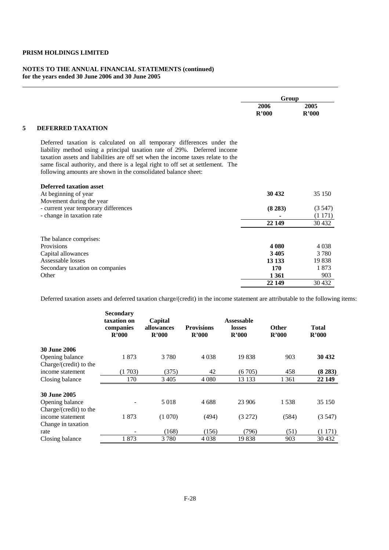#### **NOTES TO THE ANNUAL FINANCIAL STATEMENTS (continued) for the years ended 30 June 2006 and 30 June 2005**

|                                                                                                                                                                                                                                                                                                                                                                                            | Group         |               |
|--------------------------------------------------------------------------------------------------------------------------------------------------------------------------------------------------------------------------------------------------------------------------------------------------------------------------------------------------------------------------------------------|---------------|---------------|
|                                                                                                                                                                                                                                                                                                                                                                                            | 2006<br>R'000 | 2005<br>R'000 |
| <b>DEFERRED TAXATION</b>                                                                                                                                                                                                                                                                                                                                                                   |               |               |
| Deferred taxation is calculated on all temporary differences under the<br>liability method using a principal taxation rate of 29%. Deferred income<br>taxation assets and liabilities are off set when the income taxes relate to the<br>same fiscal authority, and there is a legal right to off set at settlement. The<br>following amounts are shown in the consolidated balance sheet: |               |               |
| Deferred taxation asset                                                                                                                                                                                                                                                                                                                                                                    |               |               |
| At beginning of year                                                                                                                                                                                                                                                                                                                                                                       | 30 432        | 35 150        |
| Movement during the year                                                                                                                                                                                                                                                                                                                                                                   |               |               |
| - current year temporary differences                                                                                                                                                                                                                                                                                                                                                       | (8283)        | (3.547)       |
| - change in taxation rate                                                                                                                                                                                                                                                                                                                                                                  |               | (1171)        |
|                                                                                                                                                                                                                                                                                                                                                                                            | 22 149        | 30 4 32       |
| The balance comprises:                                                                                                                                                                                                                                                                                                                                                                     |               |               |
| Provisions                                                                                                                                                                                                                                                                                                                                                                                 | 4 080         | 4 0 3 8       |
| Capital allowances                                                                                                                                                                                                                                                                                                                                                                         | 3 4 0 5       | 3 7 8 0       |
| Assessable losses                                                                                                                                                                                                                                                                                                                                                                          | 13 133        | 19838         |
| Secondary taxation on companies                                                                                                                                                                                                                                                                                                                                                            | 170           | 1873          |
| Other                                                                                                                                                                                                                                                                                                                                                                                      | 1 3 6 1       | 903           |
|                                                                                                                                                                                                                                                                                                                                                                                            | 22 149        | 30 4 32       |

Deferred taxation assets and deferred taxation charge/(credit) in the income statement are attributable to the following items:

|                                           | <b>Secondary</b><br>taxation on<br>companies<br>R'000 | Capital<br>allowances<br>R'000 | <b>Provisions</b><br>R'000 | <b>Assessable</b><br>losses<br>R'000 | <b>Other</b><br>R'000 | <b>Total</b><br>R'000 |
|-------------------------------------------|-------------------------------------------------------|--------------------------------|----------------------------|--------------------------------------|-----------------------|-----------------------|
| <b>30 June 2006</b>                       |                                                       |                                |                            |                                      |                       |                       |
| Opening balance<br>Charge/(credit) to the | 1873                                                  | 3780                           | 4 0 38                     | 19838                                | 903                   | 30 432                |
| income statement                          | (1703)                                                | (375)                          | 42                         | (6705)                               | 458                   | (8283)                |
| Closing balance                           | 170                                                   | 3 4 0 5                        | 4 0 8 0                    | 13 133                               | 1 3 6 1               | 22 149                |
| <b>30 June 2005</b>                       |                                                       |                                |                            |                                      |                       |                       |
| Opening balance<br>Charge/(credit) to the |                                                       | 5018                           | 4688                       | 23 906                               | 1538                  | 35 150                |
| income statement<br>Change in taxation    | 1873                                                  | (1070)                         | (494)                      | (3 272)                              | (584)                 | (3547)                |
| rate                                      |                                                       | (168)                          | (156)                      | (796)                                | (51)                  | (1171)                |
| Closing balance                           | 1873                                                  | 3 7 8 0                        | 4 0 38                     | 19838                                | 903                   | 30 4 32               |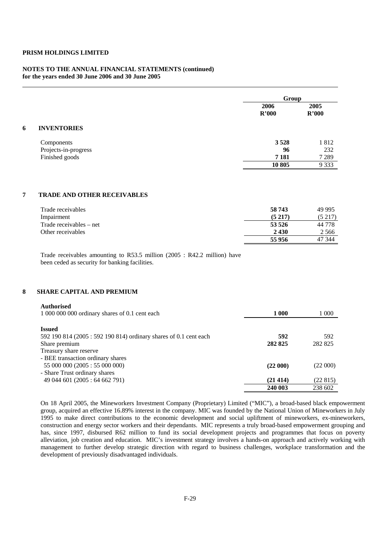#### **NOTES TO THE ANNUAL FINANCIAL STATEMENTS (continued) for the years ended 30 June 2006 and 30 June 2005**

|   |                      | Group         |               |
|---|----------------------|---------------|---------------|
|   |                      | 2006<br>R'000 | 2005<br>R'000 |
| 6 | <b>INVENTORIES</b>   |               |               |
|   | Components           | 3 5 2 8       | 1812          |
|   | Projects-in-progress | 96            | 232           |
|   | Finished goods       | 7 1 8 1       | 7 2 8 9       |
|   |                      | 10805         | 9 3 3 3       |

#### **7 TRADE AND OTHER RECEIVABLES**

| Trade receivables       | 58 743 | 49 995     |
|-------------------------|--------|------------|
| Impairment              | (5217) | (5217)     |
| Trade receivables – net | 53 526 | 44 778     |
| Other receivables       | 2430   | 2 5 6 6    |
|                         | 55956  | -344<br>47 |

Trade receivables amounting to R53.5 million (2005 : R42.2 million) have been ceded as security for banking facilities.

### **8 SHARE CAPITAL AND PREMIUM**

#### **Authorised**

| 1 000 000 000 ordinary shares of 0.1 cent each                   | 1 000    | l 000   |
|------------------------------------------------------------------|----------|---------|
| <b>Issued</b>                                                    |          |         |
| 592 190 814 (2005: 592 190 814) ordinary shares of 0.1 cent each | 592      | 592     |
| Share premium                                                    | 282 825  | 282 825 |
| Treasury share reserve                                           |          |         |
| - BEE transaction ordinary shares                                |          |         |
| 55 000 000 (2005: 55 000 000)                                    | (22 000) | (22000) |
| - Share Trust ordinary shares                                    |          |         |
| 49 044 601 (2005: 64 662 791)                                    | (21414)  | (22815) |
|                                                                  | 240 003  | 238 602 |

On 18 April 2005, the Mineworkers Investment Company (Proprietary) Limited ("MIC"), a broad-based black empowerment group, acquired an effective 16.89% interest in the company. MIC was founded by the National Union of Mineworkers in July 1995 to make direct contributions to the economic development and social upliftment of mineworkers, ex-mineworkers, construction and energy sector workers and their dependants. MIC represents a truly broad-based empowerment grouping and has, since 1997, disbursed R62 million to fund its social development projects and programmes that focus on poverty alleviation, job creation and education. MIC's investment strategy involves a hands-on approach and actively working with management to further develop strategic direction with regard to business challenges, workplace transformation and the development of previously disadvantaged individuals.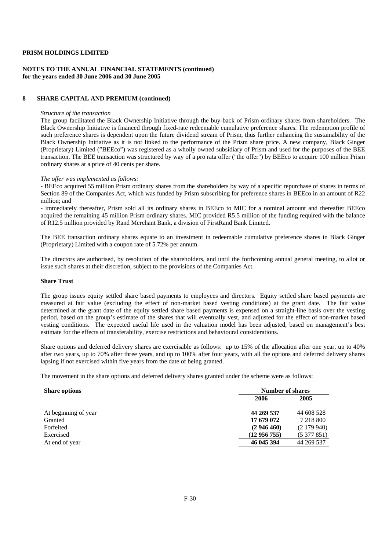#### **NOTES TO THE ANNUAL FINANCIAL STATEMENTS (continued) for the years ended 30 June 2006 and 30 June 2005**

#### **8 SHARE CAPITAL AND PREMIUM (continued)**

#### *Structure of the transaction*

The group facilitated the Black Ownership Initiative through the buy-back of Prism ordinary shares from shareholders. The Black Ownership Initiative is financed through fixed-rate redeemable cumulative preference shares. The redemption profile of such preference shares is dependent upon the future dividend stream of Prism, thus further enhancing the sustainability of the Black Ownership Initiative as it is not linked to the performance of the Prism share price. A new company, Black Ginger (Proprietary) Limited ("BEEco") was registered as a wholly owned subsidiary of Prism and used for the purposes of the BEE transaction. The BEE transaction was structured by way of a pro rata offer ("the offer") by BEEco to acquire 100 million Prism ordinary shares at a price of 40 cents per share.

#### *The offer was implemented as follows:*

- BEEco acquired 55 million Prism ordinary shares from the shareholders by way of a specific repurchase of shares in terms of Section 89 of the Companies Act, which was funded by Prism subscribing for preference shares in BEEco in an amount of R22 million; and

- immediately thereafter, Prism sold all its ordinary shares in BEEco to MIC for a nominal amount and thereafter BEEco acquired the remaining 45 million Prism ordinary shares. MIC provided R5.5 million of the funding required with the balance of R12.5 million provided by Rand Merchant Bank, a division of FirstRand Bank Limited.

The BEE transaction ordinary shares equate to an investment in redeemable cumulative preference shares in Black Ginger (Proprietary) Limited with a coupon rate of 5.72% per annum.

The directors are authorised, by resolution of the shareholders, and until the forthcoming annual general meeting, to allot or issue such shares at their discretion, subject to the provisions of the Companies Act.

#### **Share Trust**

The group issues equity settled share based payments to employees and directors. Equity settled share based payments are measured at fair value (excluding the effect of non-market based vesting conditions) at the grant date. The fair value determined at the grant date of the equity settled share based payments is expensed on a straight-line basis over the vesting period, based on the group's estimate of the shares that will eventually vest, and adjusted for the effect of non-market based vesting conditions. The expected useful life used in the valuation model has been adjusted, based on management's best estimate for the effects of transferability, exercise restrictions and behavioural considerations.

Share options and deferred delivery shares are exercisable as follows: up to 15% of the allocation after one year, up to 40% after two years, up to 70% after three years, and up to 100% after four years, with all the options and deferred delivery shares lapsing if not exercised within five years from the date of being granted.

The movement in the share options and deferred delivery shares granted under the scheme were as follows:

| <b>Share options</b> | <b>Number of shares</b> |            |  |
|----------------------|-------------------------|------------|--|
|                      | 2006                    | 2005       |  |
| At beginning of year | 44 269 537              | 44 608 528 |  |
| Granted              | 17 679 072              | 7 218 800  |  |
| Forfeited            | (2946460)               | (2179940)  |  |
| Exercised            | (12956755)              | (5377851)  |  |
| At end of year       | 46 045 394              | 44 269 537 |  |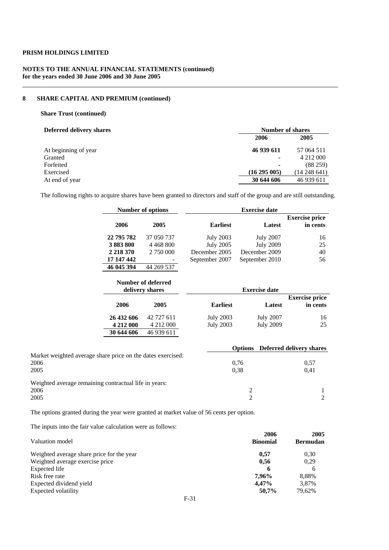### **NOTES TO THE ANNUAL FINANCIAL STATEMENTS (continued) for the years ended 30 June 2006 and 30 June 2005**

# **8 SHARE CAPITAL AND PREMIUM (continued)**

### **Share Trust (continued)**

| <b>Number of shares</b>  |                  |  |
|--------------------------|------------------|--|
| 2006                     | 2005             |  |
| 46 939 611               | 57 064 511       |  |
| ۰                        |                  |  |
| $\overline{\phantom{0}}$ | (88259)          |  |
| $(16\ 295\ 005)$         | $(14\,248\,641)$ |  |
| 30 644 606               | 46 939 611       |  |
|                          |                  |  |

The following rights to acquire shares have been granted to directors and staff of the group and are still outstanding.

|             |             | <b>Exercise date</b>                                                                                                                                                                      |                                      |                                                                                        |
|-------------|-------------|-------------------------------------------------------------------------------------------------------------------------------------------------------------------------------------------|--------------------------------------|----------------------------------------------------------------------------------------|
| 2006        | 2005        | <b>Earliest</b>                                                                                                                                                                           | Latest                               | <b>Exercise price</b><br>in cents                                                      |
| 22 795 782  | 37 050 737  |                                                                                                                                                                                           |                                      | 16                                                                                     |
| 3883800     | 4 4 68 8 00 |                                                                                                                                                                                           | <b>July 2009</b>                     | 25                                                                                     |
| 2 2 18 3 70 | 2 750 000   | December 2005                                                                                                                                                                             | December 2009                        | 40                                                                                     |
| 17 147 442  |             | September 2007                                                                                                                                                                            | September 2010                       | 56                                                                                     |
| 46 045 394  | 44 269 537  |                                                                                                                                                                                           |                                      |                                                                                        |
|             |             |                                                                                                                                                                                           | <b>Exercise date</b>                 |                                                                                        |
|             |             |                                                                                                                                                                                           |                                      | <b>Exercise price</b>                                                                  |
| 2006        | 2005        | <b>Earliest</b>                                                                                                                                                                           | Latest                               | in cents                                                                               |
| 26 432 606  | 42 727 611  | <b>July 2003</b>                                                                                                                                                                          | <b>July 2007</b>                     | 16                                                                                     |
| 4 212 000   | 4 212 000   | <b>July 2003</b>                                                                                                                                                                          | <b>July 2009</b>                     | 25                                                                                     |
| 30 644 606  | 46 939 611  |                                                                                                                                                                                           |                                      |                                                                                        |
|             |             |                                                                                                                                                                                           |                                      | Deferred delivery shares                                                               |
|             |             |                                                                                                                                                                                           |                                      | 0,57                                                                                   |
|             |             |                                                                                                                                                                                           |                                      | 0,41                                                                                   |
|             |             |                                                                                                                                                                                           |                                      |                                                                                        |
|             |             |                                                                                                                                                                                           |                                      | 1                                                                                      |
|             |             |                                                                                                                                                                                           |                                      | $\overline{2}$                                                                         |
|             |             | <b>Number of options</b><br>Number of deferred<br>delivery shares<br>Market weighted average share price on the dates exercised:<br>Weighted average remaining contractual life in years: | <b>July 2003</b><br><b>July 2005</b> | <b>July 2007</b><br><b>Options</b><br>0,76<br>0,38<br>$\overline{c}$<br>$\overline{2}$ |

The options granted during the year were granted at market value of 56 cents per option.

The inputs into the fair value calculation were as follows:

|                                           | 2006            | 2005            |
|-------------------------------------------|-----------------|-----------------|
| Valuation model                           | <b>Binomial</b> | <b>Bermudan</b> |
| Weighted average share price for the year | 0.57            | 0.30            |
| Weighted average exercise price           | 0.56            | 0.29            |
| Expected life                             | 6               | 6               |
| Risk free rate                            | 7.96%           | 8.88%           |
| Expected dividend yield                   | 4.47%           | 3.87%           |
| Expected volatility                       | 50.7%           | 79.62%          |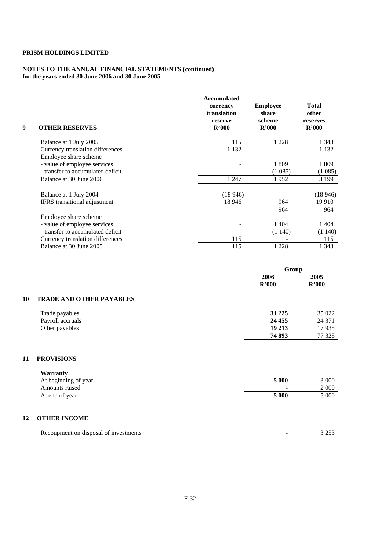#### **NOTES TO THE ANNUAL FINANCIAL STATEMENTS (continued) for the years ended 30 June 2006 and 30 June 2005**

| 9 | <b>OTHER RESERVES</b>                                     | <b>Accumulated</b><br>currency<br>translation<br>reserve<br>R'000 | <b>Employee</b><br>share<br>scheme<br>R'000 | <b>Total</b><br>other<br>reserves<br>R'000 |
|---|-----------------------------------------------------------|-------------------------------------------------------------------|---------------------------------------------|--------------------------------------------|
|   | Balance at 1 July 2005                                    | 115                                                               | 1 2 2 8                                     | 1 3 4 3                                    |
|   | Currency translation differences<br>Employee share scheme | 1 1 3 2                                                           |                                             | 1 1 3 2                                    |
|   | - value of employee services                              |                                                                   | 1809                                        | 1809                                       |
|   | - transfer to accumulated deficit                         |                                                                   | (1085)                                      | (1085)                                     |
|   | Balance at 30 June 2006                                   | 1 2 4 7                                                           | 1952                                        | 3 1 9 9                                    |
|   | Balance at 1 July 2004                                    | (18946)                                                           |                                             | (18946)                                    |
|   | IFRS transitional adjustment                              | 18 946                                                            | 964                                         | 19 9 10                                    |
|   |                                                           |                                                                   | 964                                         | 964                                        |
|   | Employee share scheme                                     |                                                                   |                                             |                                            |
|   | - value of employee services                              |                                                                   | 1404                                        | 1404                                       |
|   | - transfer to accumulated deficit                         |                                                                   | (1140)                                      | (1140)                                     |
|   | Currency translation differences                          | 115                                                               |                                             | 115                                        |
|   | Balance at 30 June 2005                                   | 115                                                               | 1 2 2 8                                     | 1 3 4 3                                    |

|                                       | Group         |               |
|---------------------------------------|---------------|---------------|
|                                       | 2006<br>R'000 | 2005<br>R'000 |
| <b>TRADE AND OTHER PAYABLES</b><br>10 |               |               |
| Trade payables                        | 31 2 25       | 35 022        |
| Payroll accruals                      | 24 4 55       | 24 37 1       |
| Other payables                        | 19 213        | 17935         |
|                                       | 74 893        | 77 328        |

### **11 PROVISIONS**

| Warranty             |       |         |
|----------------------|-------|---------|
| At beginning of year | 5 000 | 3 000   |
| Amounts raised       |       | 2 0 0 0 |
| At end of year       | 5 000 | 5 000   |
|                      |       |         |

# **12 OTHER INCOME**

| Recoupment on disposal of investments |  |
|---------------------------------------|--|
|                                       |  |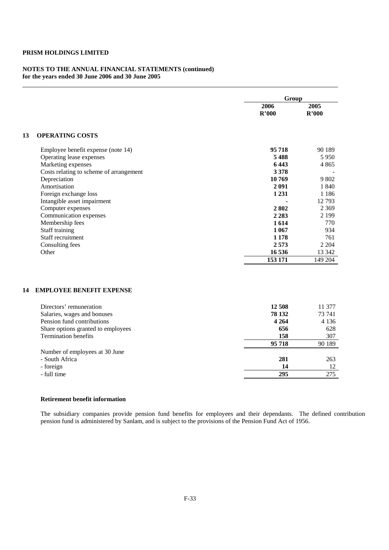### **NOTES TO THE ANNUAL FINANCIAL STATEMENTS (continued) for the years ended 30 June 2006 and 30 June 2005**

|                                         | Group   |         |
|-----------------------------------------|---------|---------|
|                                         | 2006    | 2005    |
|                                         | R'000   | R'000   |
| 13<br><b>OPERATING COSTS</b>            |         |         |
| Employee benefit expense (note 14)      | 95718   | 90 189  |
| Operating lease expenses                | 5488    | 5 9 5 0 |
| Marketing expenses                      | 6443    | 4 8 6 5 |
| Costs relating to scheme of arrangement | 3 3 7 8 |         |
| Depreciation                            | 10769   | 9 802   |
| Amortisation                            | 2 0 9 1 | 1 840   |
| Foreign exchange loss                   | 1 2 3 1 | 1 1 8 6 |
| Intangible asset impairment             |         | 12793   |
| Computer expenses                       | 2802    | 2 3 6 9 |
| Communication expenses                  | 2 2 8 3 | 2 1 9 9 |
| Membership fees                         | 1614    | 770     |
| Staff training                          | 1 0 6 7 | 934     |
| Staff recruitment                       | 1 1 7 8 | 761     |
| Consulting fees                         | 2573    | 2 2 0 4 |
| Other                                   | 16 536  | 13 342  |
|                                         | 153 171 | 149 204 |
| <b>EMPLOYEE BENEFIT EXPENSE</b><br>14   |         |         |
| Directors' remuneration                 | 12 508  | 11 377  |
| Salaries, wages and bonuses             | 78 132  | 73 741  |
| Pension fund contributions              | 4 2 6 4 | 4 1 3 6 |
| Share options granted to employees      | 656     | 628     |
| <b>Termination benefits</b>             | 158     | 307     |
|                                         | 95 718  | 90 189  |
| Number of employees at 30 June          |         |         |
| - South Africa                          | 281     | 263     |
| - foreign                               | 14      | 12      |

- full time **295** 275

#### **Retirement benefit information**

The subsidiary companies provide pension fund benefits for employees and their dependants. The defined contribution pension fund is administered by Sanlam, and is subject to the provisions of the Pension Fund Act of 1956.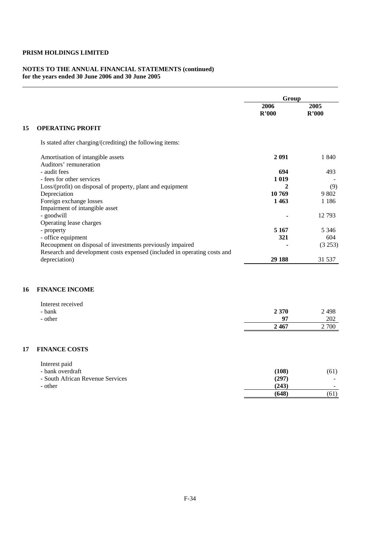#### **NOTES TO THE ANNUAL FINANCIAL STATEMENTS (continued) for the years ended 30 June 2006 and 30 June 2005**

|                                                                          | Group   |         |
|--------------------------------------------------------------------------|---------|---------|
|                                                                          | 2006    | 2005    |
|                                                                          | R'000   | R'000   |
| 15<br><b>OPERATING PROFIT</b>                                            |         |         |
| Is stated after charging/(crediting) the following items:                |         |         |
| Amortisation of intangible assets                                        | 2 0 9 1 | 1 840   |
| Auditors' remuneration                                                   |         |         |
| - audit fees                                                             | 694     | 493     |
| - fees for other services                                                | 1 0 1 9 |         |
| Loss/(profit) on disposal of property, plant and equipment               | 2       | (9)     |
| Depreciation                                                             | 10 769  | 9 802   |
| Foreign exchange losses                                                  | 1463    | 1 1 8 6 |
| Impairment of intangible asset                                           |         |         |
| - goodwill                                                               |         | 12793   |
| Operating lease charges                                                  |         |         |
| - property                                                               | 5 1 6 7 | 5 3 4 6 |
| - office equipment                                                       | 321     | 604     |
| Recoupment on disposal of investments previously impaired                |         | (3 253) |
| Research and development costs expensed (included in operating costs and |         |         |
| depreciation)                                                            | 29 188  | 31 537  |

# **16 FINANCE INCOME**

| Interest received |         |       |
|-------------------|---------|-------|
| - bank            | 2 3 7 0 | 2 498 |
| - other           | 07      | 202   |
|                   | 2467    | 2 700 |

# **17 FINANCE COSTS**

| Interest paid                    |       |                          |
|----------------------------------|-------|--------------------------|
| - bank overdraft                 | (108) | (61)                     |
| - South African Revenue Services | (297) | ۰                        |
| - other                          | (243) | $\overline{\phantom{a}}$ |
|                                  | (648) | (61)                     |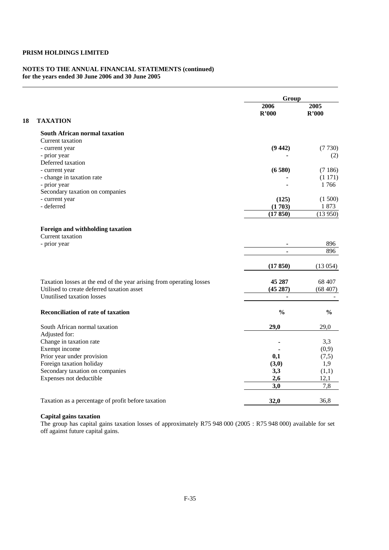#### **NOTES TO THE ANNUAL FINANCIAL STATEMENTS (continued) for the years ended 30 June 2006 and 30 June 2005**

|                                                                      | Group         |               |
|----------------------------------------------------------------------|---------------|---------------|
|                                                                      | 2006<br>R'000 | 2005<br>R'000 |
| <b>TAXATION</b>                                                      |               |               |
| <b>South African normal taxation</b>                                 |               |               |
| Current taxation                                                     |               |               |
| - current year                                                       | (9442)        | (7730)        |
| - prior year                                                         |               | (2)           |
| Deferred taxation                                                    |               |               |
| - current year                                                       | (6580)        | (7186)        |
| - change in taxation rate                                            |               | (1171)        |
| - prior year                                                         |               | 1766          |
| Secondary taxation on companies                                      |               |               |
| - current year                                                       | (125)         | (1500)        |
| - deferred                                                           | (1703)        | 1873          |
|                                                                      | (17850)       | (13950)       |
| Foreign and withholding taxation                                     |               |               |
| Current taxation                                                     |               |               |
| - prior year                                                         |               | 896           |
|                                                                      |               | 896           |
|                                                                      | (17850)       | (13054)       |
| Taxation losses at the end of the year arising from operating losses | 45 287        | 68 407        |
| Utilised to create deferred taxation asset                           | (45287)       | (68407)       |
| Unutilised taxation losses                                           |               |               |
| <b>Reconciliation of rate of taxation</b>                            | $\frac{0}{0}$ | $\frac{0}{0}$ |
| South African normal taxation                                        | 29,0          | 29,0          |
| Adjusted for:                                                        |               |               |
| Change in taxation rate                                              |               | 3,3           |
| Exempt income                                                        |               | (0,9)         |
| Prior year under provision                                           | 0,1           | (7,5)         |
| Foreign taxation holiday                                             | (3,0)         | 1,9           |
| Secondary taxation on companies                                      | 3,3           | (1,1)         |
| Expenses not deductible                                              | 2,6           | 12,1          |
|                                                                      | 3,0           | 7,8           |
| Taxation as a percentage of profit before taxation                   | 32,0          | 36,8          |
|                                                                      |               |               |

# **Capital gains taxation**

The group has capital gains taxation losses of approximately R75 948 000 (2005 : R75 948 000) available for set off against future capital gains.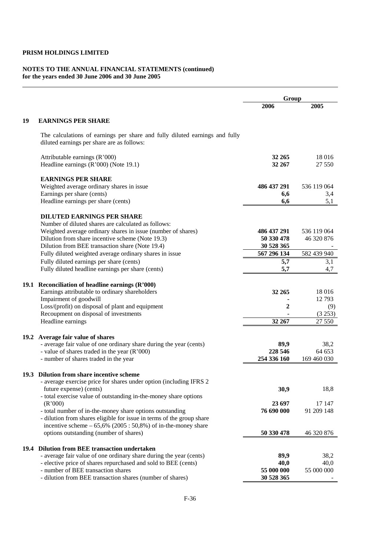#### **NOTES TO THE ANNUAL FINANCIAL STATEMENTS (continued) for the years ended 30 June 2006 and 30 June 2005**

|      |                                                                                                                           | Group                    |                  |
|------|---------------------------------------------------------------------------------------------------------------------------|--------------------------|------------------|
|      |                                                                                                                           | 2006                     | 2005             |
| 19   | <b>EARNINGS PER SHARE</b>                                                                                                 |                          |                  |
|      | The calculations of earnings per share and fully diluted earnings and fully<br>diluted earnings per share are as follows: |                          |                  |
|      | Attributable earnings (R'000)<br>Headline earnings (R'000) (Note 19.1)                                                    | 32 265<br>32 267         | 18 016<br>27 550 |
|      | <b>EARNINGS PER SHARE</b>                                                                                                 |                          |                  |
|      | Weighted average ordinary shares in issue                                                                                 | 486 437 291              | 536 119 064      |
|      | Earnings per share (cents)                                                                                                | 6,6                      | 3,4              |
|      | Headline earnings per share (cents)                                                                                       | 6,6                      | 5,1              |
|      | <b>DILUTED EARNINGS PER SHARE</b>                                                                                         |                          |                  |
|      | Number of diluted shares are calculated as follows:<br>Weighted average ordinary shares in issue (number of shares)       | 486 437 291              | 536 119 064      |
|      | Dilution from share incentive scheme (Note 19.3)                                                                          | 50 330 478               | 46 320 876       |
|      | Dilution from BEE transaction share (Note 19.4)                                                                           | 30 528 365               |                  |
|      | Fully diluted weighted average ordinary shares in issue                                                                   | 567 296 134              | 582 439 940      |
|      | Fully diluted earnings per share (cents)                                                                                  | 5,7                      | 3,1              |
|      | Fully diluted headline earnings per share (cents)                                                                         | 5,7                      | 4,7              |
|      |                                                                                                                           |                          |                  |
|      | 19.1 Reconciliation of headline earnings (R'000)<br>Earnings attributable to ordinary shareholders                        | 32 265                   | 18 016           |
|      | Impairment of goodwill                                                                                                    |                          | 12793            |
|      | Loss/(profit) on disposal of plant and equipment                                                                          | 2                        | (9)              |
|      | Recoupment on disposal of investments                                                                                     |                          | (3 253)          |
|      | Headline earnings                                                                                                         | 32 267                   | 27 550           |
| 19.2 | Average fair value of shares                                                                                              |                          |                  |
|      | - average fair value of one ordinary share during the year (cents)                                                        | 89,9                     | 38,2             |
|      | - value of shares traded in the year (R'000)                                                                              | 228 546                  | 64 653           |
|      | - number of shares traded in the year                                                                                     | 254 336 160              | 169 460 030      |
|      |                                                                                                                           |                          |                  |
|      | 19.3 Dilution from share incentive scheme<br>- average exercise price for shares under option (including IFRS 2           |                          |                  |
|      | future expense) (cents)                                                                                                   | 30,9                     | 18,8             |
|      | - total exercise value of outstanding in-the-money share options                                                          |                          |                  |
|      | (R'000)                                                                                                                   | 23 697                   | 17 147           |
|      | - total number of in-the-money share options outstanding                                                                  | 76 690 000               | 91 209 148       |
|      | - dilution from shares eligible for issue in terms of the group share                                                     |                          |                  |
|      | incentive scheme $-65,6\%$ (2005: 50,8%) of in-the-money share<br>options outstanding (number of shares)                  | 50 330 478               | 46 320 876       |
|      |                                                                                                                           |                          |                  |
| 19.4 | <b>Dilution from BEE transaction undertaken</b>                                                                           |                          |                  |
|      | - average fair value of one ordinary share during the year (cents)                                                        | 89,9                     | 38,2             |
|      | - elective price of shares repurchased and sold to BEE (cents)                                                            | 40,0                     | 40,0             |
|      | - number of BEE transaction shares<br>- dilution from BEE transaction shares (number of shares)                           | 55 000 000<br>30 528 365 | 55 000 000       |
|      |                                                                                                                           |                          |                  |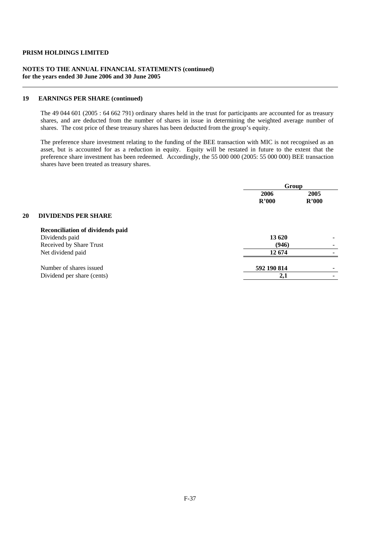### **NOTES TO THE ANNUAL FINANCIAL STATEMENTS (continued) for the years ended 30 June 2006 and 30 June 2005**

### **19 EARNINGS PER SHARE (continued)**

The 49 044 601 (2005 : 64 662 791) ordinary shares held in the trust for participants are accounted for as treasury shares, and are deducted from the number of shares in issue in determining the weighted average number of shares. The cost price of these treasury shares has been deducted from the group's equity.

The preference share investment relating to the funding of the BEE transaction with MIC is not recognised as an asset, but is accounted for as a reduction in equity. Equity will be restated in future to the extent that the preference share investment has been redeemed. Accordingly, the 55 000 000 (2005: 55 000 000) BEE transaction shares have been treated as treasury shares.

|    |                                         | Group       |       |
|----|-----------------------------------------|-------------|-------|
|    |                                         | 2006        | 2005  |
|    |                                         | R'000       | R'000 |
| 20 | <b>DIVIDENDS PER SHARE</b>              |             |       |
|    | <b>Reconciliation of dividends paid</b> |             |       |
|    | Dividends paid                          | 13 620      |       |
|    | Received by Share Trust                 | (946)       |       |
|    | Net dividend paid                       | 12674       |       |
|    | Number of shares issued                 | 592 190 814 |       |
|    | Dividend per share (cents)              | 2,1         |       |
|    |                                         |             |       |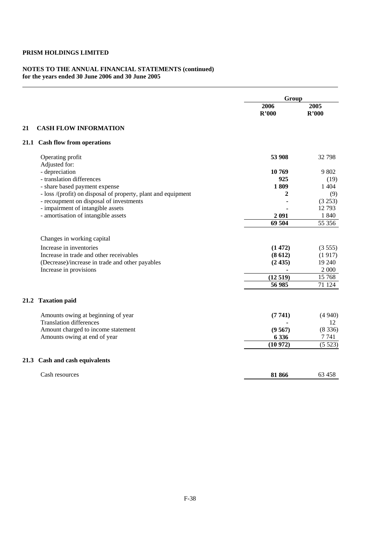#### **NOTES TO THE ANNUAL FINANCIAL STATEMENTS (continued) for the years ended 30 June 2006 and 30 June 2005**

|      |                                                               | Group         |               |
|------|---------------------------------------------------------------|---------------|---------------|
|      |                                                               | 2006<br>R'000 | 2005<br>R'000 |
| 21   | <b>CASH FLOW INFORMATION</b>                                  |               |               |
|      | 21.1 Cash flow from operations                                |               |               |
|      | Operating profit<br>Adjusted for:                             | 53 908        | 32 798        |
|      | - depreciation                                                | 10 769        | 9 802         |
|      | - translation differences                                     | 925           | (19)          |
|      | - share based payment expense                                 | 1809          | 1 4 0 4       |
|      | - loss /(profit) on disposal of property, plant and equipment | 2             | (9)           |
|      | - recoupment on disposal of investments                       |               | (3 253)       |
|      | - impairment of intangible assets                             |               | 12793         |
|      | - amortisation of intangible assets                           | 2 0 9 1       | 1 840         |
|      |                                                               | 69 504        | 55 356        |
|      | Changes in working capital                                    |               |               |
|      | Increase in inventories                                       | (1472)        | (3555)        |
|      | Increase in trade and other receivables                       | (8612)        | (1917)        |
|      | (Decrease)/increase in trade and other payables               | (2435)        | 19 240        |
|      | Increase in provisions                                        |               | 2 0 0 0       |
|      |                                                               | (12519)       | 15 768        |
|      |                                                               | 56 985        | 71 124        |
|      | 21.2 Taxation paid                                            |               |               |
|      | Amounts owing at beginning of year                            | (7741)        | (4940)        |
|      | <b>Translation differences</b>                                |               | 12            |
|      | Amount charged to income statement                            | (9567)        | (8336)        |
|      | Amounts owing at end of year                                  | 6 3 3 6       | 7 741         |
|      |                                                               | (10972)       | (5523)        |
| 21.3 | Cash and cash equivalents                                     |               |               |
|      | Cash resources                                                | 81 866        | 63 458        |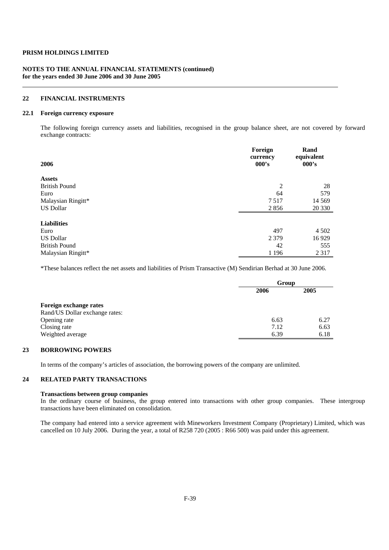### **NOTES TO THE ANNUAL FINANCIAL STATEMENTS (continued) for the years ended 30 June 2006 and 30 June 2005**

### **22 FINANCIAL INSTRUMENTS**

### **22.1 Foreign currency exposure**

 The following foreign currency assets and liabilities, recognised in the group balance sheet, are not covered by forward exchange contracts:

| 2006                 | Foreign<br>currency<br>000's | Rand<br>equivalent<br>000's |
|----------------------|------------------------------|-----------------------------|
| <b>Assets</b>        |                              |                             |
| <b>British Pound</b> | $\overline{c}$               | 28                          |
| Euro                 | 64                           | 579                         |
| Malaysian Ringitt*   | 7517                         | 14 5 69                     |
| <b>US Dollar</b>     | 2856                         | 20 330                      |
| <b>Liabilities</b>   |                              |                             |
| Euro                 | 497                          | 4 5 0 2                     |
| <b>US Dollar</b>     | 2 3 7 9                      | 16929                       |
| <b>British Pound</b> | 42                           | 555                         |
| Malaysian Ringitt*   | 1 1 9 6                      | 2 3 1 7                     |

\*These balances reflect the net assets and liabilities of Prism Transactive (M) Sendirian Berhad at 30 June 2006.

|                                | Group |      |
|--------------------------------|-------|------|
|                                | 2006  | 2005 |
| Foreign exchange rates         |       |      |
| Rand/US Dollar exchange rates: |       |      |
| Opening rate                   | 6.63  | 6.27 |
| Closing rate                   | 7.12  | 6.63 |
| Weighted average               | 6.39  | 6.18 |

### **23 BORROWING POWERS**

In terms of the company's articles of association, the borrowing powers of the company are unlimited.

### **24 RELATED PARTY TRANSACTIONS**

#### **Transactions between group companies**

In the ordinary course of business, the group entered into transactions with other group companies. These intergroup transactions have been eliminated on consolidation.

 The company had entered into a service agreement with Mineworkers Investment Company (Proprietary) Limited, which was cancelled on 10 July 2006. During the year, a total of R258 720 (2005 : R66 500) was paid under this agreement.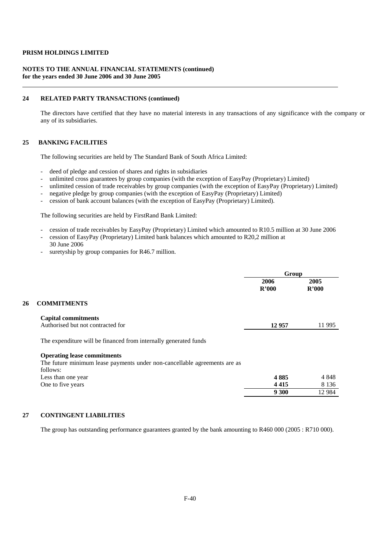#### **NOTES TO THE ANNUAL FINANCIAL STATEMENTS (continued) for the years ended 30 June 2006 and 30 June 2005**

#### **24 RELATED PARTY TRANSACTIONS (continued)**

 The directors have certified that they have no material interests in any transactions of any significance with the company or any of its subsidiaries.

### **25 BANKING FACILITIES**

The following securities are held by The Standard Bank of South Africa Limited:

- deed of pledge and cession of shares and rights in subsidiaries
- unlimited cross guarantees by group companies (with the exception of EasyPay (Proprietary) Limited)
- unlimited cession of trade receivables by group companies (with the exception of EasyPay (Proprietary) Limited)
- negative pledge by group companies (with the exception of EasyPay (Proprietary) Limited)
- cession of bank account balances (with the exception of EasyPay (Proprietary) Limited).

The following securities are held by FirstRand Bank Limited:

- cession of trade receivables by EasyPay (Proprietary) Limited which amounted to R10.5 million at 30 June 2006
- cession of EasyPay (Proprietary) Limited bank balances which amounted to R20,2 million at 30 June 2006
- suretyship by group companies for R46.7 million.

|    |                                                                           | Group         |               |
|----|---------------------------------------------------------------------------|---------------|---------------|
|    |                                                                           | 2006<br>R'000 | 2005<br>R'000 |
| 26 | <b>COMMITMENTS</b>                                                        |               |               |
|    | <b>Capital commitments</b><br>Authorised but not contracted for           | 12957         | 11 9 95       |
|    | The expenditure will be financed from internally generated funds          |               |               |
|    | <b>Operating lease commitments</b>                                        |               |               |
|    | The future minimum lease payments under non-cancellable agreements are as |               |               |
|    | follows:                                                                  |               |               |
|    | Less than one year                                                        | 4885          | 4 8 4 8       |
|    | One to five years                                                         | 4415          | 8 1 3 6       |
|    |                                                                           | 9 300         | 12 9 84       |
|    |                                                                           |               |               |

### **27 CONTINGENT LIABILITIES**

The group has outstanding performance guarantees granted by the bank amounting to R460 000 (2005 : R710 000).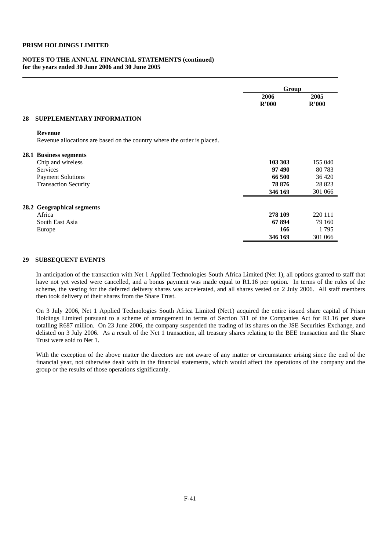#### **NOTES TO THE ANNUAL FINANCIAL STATEMENTS (continued) for the years ended 30 June 2006 and 30 June 2005**

|    |                                                                         | Group   |         |
|----|-------------------------------------------------------------------------|---------|---------|
|    |                                                                         | 2006    | 2005    |
|    |                                                                         | R'000   | R'000   |
| 28 | <b>SUPPLEMENTARY INFORMATION</b>                                        |         |         |
|    | <b>Revenue</b>                                                          |         |         |
|    | Revenue allocations are based on the country where the order is placed. |         |         |
|    | 28.1 Business segments                                                  |         |         |
|    | Chip and wireless                                                       | 103 303 | 155 040 |
|    | <b>Services</b>                                                         | 97490   | 80783   |
|    | <b>Payment Solutions</b>                                                | 66 500  | 36 4 20 |
|    | <b>Transaction Security</b>                                             | 78 876  | 28 823  |
|    |                                                                         | 346 169 | 301 066 |
|    | 28.2 Geographical segments                                              |         |         |
|    | Africa                                                                  | 278 109 | 220 111 |
|    | South East Asia                                                         | 67894   | 79 160  |
|    | Europe                                                                  | 166     | 1795    |
|    |                                                                         | 346 169 | 301 066 |

#### **29 SUBSEQUENT EVENTS**

In anticipation of the transaction with Net 1 Applied Technologies South Africa Limited (Net 1), all options granted to staff that have not yet vested were cancelled, and a bonus payment was made equal to R1.16 per option. In terms of the rules of the scheme, the vesting for the deferred delivery shares was accelerated, and all shares vested on 2 July 2006. All staff members then took delivery of their shares from the Share Trust.

On 3 July 2006, Net 1 Applied Technologies South Africa Limited (Net1) acquired the entire issued share capital of Prism Holdings Limited pursuant to a scheme of arrangement in terms of Section 311 of the Companies Act for R1.16 per share totalling R687 million. On 23 June 2006, the company suspended the trading of its shares on the JSE Securities Exchange, and delisted on 3 July 2006. As a result of the Net 1 transaction, all treasury shares relating to the BEE transaction and the Share Trust were sold to Net 1.

With the exception of the above matter the directors are not aware of any matter or circumstance arising since the end of the financial year, not otherwise dealt with in the financial statements, which would affect the operations of the company and the group or the results of those operations significantly.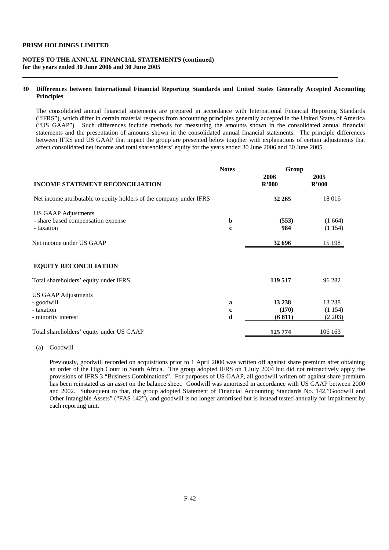#### **NOTES TO THE ANNUAL FINANCIAL STATEMENTS (continued) for the years ended 30 June 2006 and 30 June 2005**

### **30 Differences between International Financial Reporting Standards and United States Generally Accepted Accounting Principles**

 The consolidated annual financial statements are prepared in accordance with International Financial Reporting Standards ("IFRS"), which differ in certain material respects from accounting principles generally accepted in the United States of America ("US GAAP"). Such differences include methods for measuring the amounts shown in the consolidated annual financial statements and the presentation of amounts shown in the consolidated annual financial statements. The principle differences between IFRS and US GAAP that impact the group are presented below together with explanations of certain adjustments that affect consolidated net income and total shareholders' equity for the years ended 30 June 2006 and 30 June 2005.

|                                                                     | <b>Notes</b> | Group         |               |
|---------------------------------------------------------------------|--------------|---------------|---------------|
| <b>INCOME STATEMENT RECONCILIATION</b>                              |              | 2006<br>R'000 | 2005<br>R'000 |
| Net income attributable to equity holders of the company under IFRS |              | 32 265        | 18016         |
| <b>US GAAP Adjustments</b>                                          |              |               |               |
| - share based compensation expense                                  | b            | (553)         | (1664)        |
| - taxation                                                          | $\mathbf c$  | 984           | (1154)        |
| Net income under US GAAP                                            |              | 32 696        | 15 198        |
| <b>EQUITY RECONCILIATION</b>                                        |              |               |               |
| Total shareholders' equity under IFRS                               |              | 119 517       | 96 282        |
| <b>US GAAP Adjustments</b>                                          |              |               |               |
| - goodwill                                                          | a            | 13 238        | 13 2 38       |
| - taxation                                                          | $\mathbf c$  | (170)         | (1154)        |
| - minority interest                                                 | d            | (6811)        | (2 203)       |
| Total shareholders' equity under US GAAP                            |              | 125 774       | 106 163       |

(a) Goodwill

 Previously, goodwill recorded on acquisitions prior to 1 April 2000 was written off against share premium after obtaining an order of the High Court in South Africa. The group adopted IFRS on 1 July 2004 but did not retroactively apply the provisions of IFRS 3 "Business Combinations". For purposes of US GAAP, all goodwill written off against share premium has been reinstated as an asset on the balance sheet. Goodwill was amortised in accordance with US GAAP between 2000 and 2002. Subsequent to that, the group adopted Statement of Financial Accounting Standards No. 142,"Goodwill and Other Intangible Assets" ("FAS 142"), and goodwill is no longer amortised but is instead tested annually for impairment by each reporting unit.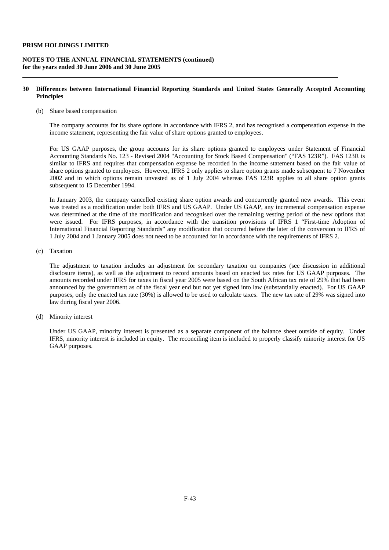### **NOTES TO THE ANNUAL FINANCIAL STATEMENTS (continued) for the years ended 30 June 2006 and 30 June 2005**

### **30 Differences between International Financial Reporting Standards and United States Generally Accepted Accounting Principles**

(b) Share based compensation

The company accounts for its share options in accordance with IFRS 2, and has recognised a compensation expense in the income statement, representing the fair value of share options granted to employees.

 For US GAAP purposes, the group accounts for its share options granted to employees under Statement of Financial Accounting Standards No. 123 - Revised 2004 "Accounting for Stock Based Compensation" ("FAS 123R"). FAS 123R is similar to IFRS and requires that compensation expense be recorded in the income statement based on the fair value of share options granted to employees. However, IFRS 2 only applies to share option grants made subsequent to 7 November 2002 and in which options remain unvested as of 1 July 2004 whereas FAS 123R applies to all share option grants subsequent to 15 December 1994.

 In January 2003, the company cancelled existing share option awards and concurrently granted new awards. This event was treated as a modification under both IFRS and US GAAP. Under US GAAP, any incremental compensation expense was determined at the time of the modification and recognised over the remaining vesting period of the new options that were issued. For IFRS purposes, in accordance with the transition provisions of IFRS 1 "First-time Adoption of International Financial Reporting Standards" any modification that occurred before the later of the conversion to IFRS of 1 July 2004 and 1 January 2005 does not need to be accounted for in accordance with the requirements of IFRS 2.

(c) Taxation

 The adjustment to taxation includes an adjustment for secondary taxation on companies (see discussion in additional disclosure items), as well as the adjustment to record amounts based on enacted tax rates for US GAAP purposes. The amounts recorded under IFRS for taxes in fiscal year 2005 were based on the South African tax rate of 29% that had been announced by the government as of the fiscal year end but not yet signed into law (substantially enacted). For US GAAP purposes, only the enacted tax rate (30%) is allowed to be used to calculate taxes. The new tax rate of 29% was signed into law during fiscal year 2006.

(d) Minority interest

 Under US GAAP, minority interest is presented as a separate component of the balance sheet outside of equity. Under IFRS, minority interest is included in equity. The reconciling item is included to properly classify minority interest for US GAAP purposes.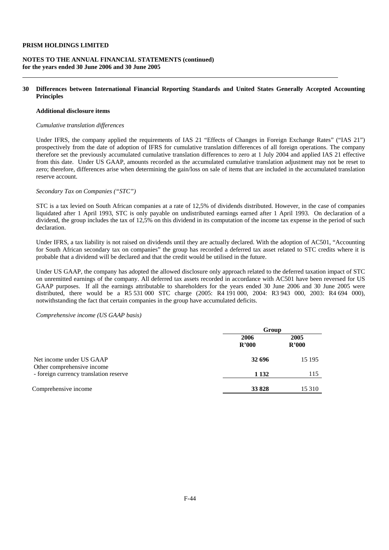### **NOTES TO THE ANNUAL FINANCIAL STATEMENTS (continued) for the years ended 30 June 2006 and 30 June 2005**

### **30 Differences between International Financial Reporting Standards and United States Generally Accepted Accounting Principles**

### **Additional disclosure items**

### *Cumulative translation differences*

Under IFRS, the company applied the requirements of IAS 21 "Effects of Changes in Foreign Exchange Rates" ("IAS 21") prospectively from the date of adoption of IFRS for cumulative translation differences of all foreign operations. The company therefore set the previously accumulated cumulative translation differences to zero at 1 July 2004 and applied IAS 21 effective from this date. Under US GAAP, amounts recorded as the accumulated cumulative translation adjustment may not be reset to zero; therefore, differences arise when determining the gain/loss on sale of items that are included in the accumulated translation reserve account.

### *Secondary Tax on Companies ("STC")*

 STC is a tax levied on South African companies at a rate of 12,5% of dividends distributed. However, in the case of companies liquidated after 1 April 1993, STC is only payable on undistributed earnings earned after 1 April 1993. On declaration of a dividend, the group includes the tax of 12,5% on this dividend in its computation of the income tax expense in the period of such declaration.

 Under IFRS, a tax liability is not raised on dividends until they are actually declared. With the adoption of AC501, "Accounting for South African secondary tax on companies" the group has recorded a deferred tax asset related to STC credits where it is probable that a dividend will be declared and that the credit would be utilised in the future.

 Under US GAAP, the company has adopted the allowed disclosure only approach related to the deferred taxation impact of STC on unremitted earnings of the company. All deferred tax assets recorded in accordance with AC501 have been reversed for US GAAP purposes. If all the earnings attributable to shareholders for the years ended 30 June 2006 and 30 June 2005 were distributed, there would be a R5 531 000 STC charge (2005: R4 191 000, 2004: R3 943 000, 2003: R4 694 000), notwithstanding the fact that certain companies in the group have accumulated deficits.

#### *Comprehensive income (US GAAP basis)*

|                                                        |               | Group         |  |  |
|--------------------------------------------------------|---------------|---------------|--|--|
|                                                        | 2006<br>R'000 | 2005<br>R'000 |  |  |
| Net income under US GAAP<br>Other comprehensive income | 32 696        | 15 195        |  |  |
| - foreign currency translation reserve                 | 1 1 3 2       | 115           |  |  |
| Comprehensive income                                   | 33 828        | 15 3 10       |  |  |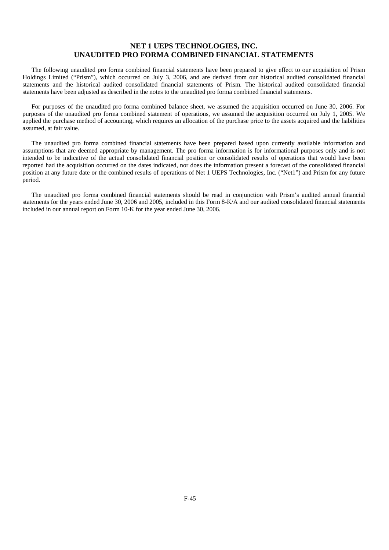# **NET 1 UEPS TECHNOLOGIES, INC. UNAUDITED PRO FORMA COMBINED FINANCIAL STATEMENTS**

The following unaudited pro forma combined financial statements have been prepared to give effect to our acquisition of Prism Holdings Limited ("Prism"), which occurred on July 3, 2006, and are derived from our historical audited consolidated financial statements and the historical audited consolidated financial statements of Prism. The historical audited consolidated financial statements have been adjusted as described in the notes to the unaudited pro forma combined financial statements.

For purposes of the unaudited pro forma combined balance sheet, we assumed the acquisition occurred on June 30, 2006. For purposes of the unaudited pro forma combined statement of operations, we assumed the acquisition occurred on July 1, 2005. We applied the purchase method of accounting, which requires an allocation of the purchase price to the assets acquired and the liabilities assumed, at fair value.

The unaudited pro forma combined financial statements have been prepared based upon currently available information and assumptions that are deemed appropriate by management. The pro forma information is for informational purposes only and is not intended to be indicative of the actual consolidated financial position or consolidated results of operations that would have been reported had the acquisition occurred on the dates indicated, nor does the information present a forecast of the consolidated financial position at any future date or the combined results of operations of Net 1 UEPS Technologies, Inc. ("Net1") and Prism for any future period.

The unaudited pro forma combined financial statements should be read in conjunction with Prism's audited annual financial statements for the years ended June 30, 2006 and 2005, included in this Form 8-K/A and our audited consolidated financial statements included in our annual report on Form 10-K for the year ended June 30, 2006.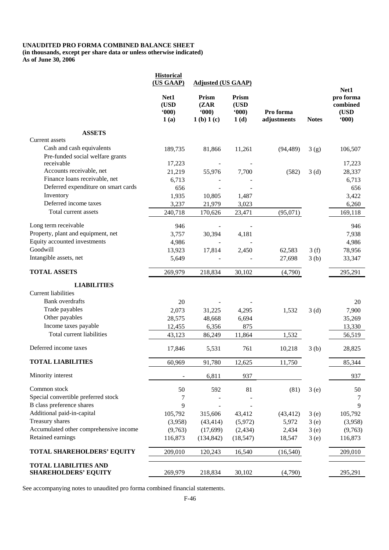# **UNAUDITED PRO FORMA COMBINED BALANCE SHEET (in thousands, except per share data or unless otherwise indicated)**

**As of June 30, 2006** 

|                                        | <b>Historical</b><br>(US GAAP) | <b>Adjusted (US GAAP)</b>            |                                   |                          |                  | Net1                                   |
|----------------------------------------|--------------------------------|--------------------------------------|-----------------------------------|--------------------------|------------------|----------------------------------------|
|                                        | Net1<br>(USD<br>(000)<br>1(a)  | Prism<br>(ZAR)<br>(000)<br>1(b) 1(c) | Prism<br>$($ USD<br>(000)<br>1(d) | Pro forma<br>adjustments | <b>Notes</b>     | pro forma<br>combined<br>(USD<br>(000) |
| <b>ASSETS</b>                          |                                |                                      |                                   |                          |                  |                                        |
| Current assets                         |                                |                                      |                                   |                          |                  |                                        |
| Cash and cash equivalents              | 189,735                        | 81,866                               | 11,261                            | (94, 489)                | 3(g)             | 106,507                                |
| Pre-funded social welfare grants       |                                |                                      |                                   |                          |                  |                                        |
| receivable                             | 17,223                         |                                      |                                   |                          |                  | 17,223                                 |
| Accounts receivable, net               | 21,219                         | 55,976                               | 7,700                             | (582)                    | 3 <sub>(d)</sub> | 28,337                                 |
| Finance loans receivable, net          | 6,713                          |                                      |                                   |                          |                  | 6,713                                  |
| Deferred expenditure on smart cards    | 656                            |                                      |                                   |                          |                  | 656                                    |
| Inventory                              | 1,935                          | 10,805                               | 1,487                             |                          |                  | 3,422                                  |
| Deferred income taxes                  | 3,237                          | 21,979                               | 3,023                             |                          |                  | 6,260                                  |
| Total current assets                   | 240,718                        | 170,626                              | 23,471                            | (95,071)                 |                  | 169,118                                |
| Long term receivable                   | 946                            |                                      |                                   |                          |                  | 946                                    |
| Property, plant and equipment, net     | 3,757                          | 30,394                               | 4,181                             |                          |                  | 7,938                                  |
| Equity accounted investments           | 4,986                          |                                      |                                   |                          |                  | 4,986                                  |
| Goodwill                               | 13,923                         | 17,814                               | 2,450                             | 62,583                   | 3(f)             | 78,956                                 |
| Intangible assets, net                 | 5,649                          |                                      |                                   | 27,698                   | 3(b)             | 33,347                                 |
| <b>TOTAL ASSETS</b>                    | 269,979                        | 218,834                              | 30,102                            | (4,790)                  |                  | 295,291                                |
| <b>LIABILITIES</b>                     |                                |                                      |                                   |                          |                  |                                        |
| <b>Current liabilities</b>             |                                |                                      |                                   |                          |                  |                                        |
| <b>Bank</b> overdrafts                 | 20                             |                                      |                                   |                          |                  | 20                                     |
| Trade payables                         | 2,073                          | 31,225                               | 4,295                             | 1,532                    | 3(d)             | 7,900                                  |
| Other payables                         | 28,575                         | 48,668                               | 6,694                             |                          |                  | 35,269                                 |
| Income taxes payable                   | 12,455                         | 6,356                                | 875                               |                          |                  | 13,330                                 |
| Total current liabilities              | 43,123                         | 86,249                               | 11,864                            | 1,532                    |                  | 56,519                                 |
| Deferred income taxes                  | 17,846                         | 5,531                                | 761                               | 10,218                   | 3(b)             | 28,825                                 |
| <b>TOTAL LIABILITIES</b>               | 60,969                         | 91,780                               | 12,625                            | 11,750                   |                  | 85,344                                 |
|                                        |                                |                                      |                                   |                          |                  |                                        |
| Minority interest                      |                                | 6,811                                | 937                               |                          |                  | 937                                    |
| Common stock                           | 50                             | 592                                  | 81                                | (81)                     | 3(e)             | 50                                     |
| Special convertible preferred stock    | 7                              |                                      |                                   |                          |                  | 7                                      |
| B class preference shares              | 9                              |                                      |                                   |                          |                  | 9                                      |
| Additional paid-in-capital             | 105,792                        | 315,606                              | 43,412                            | (43, 412)                | 3(e)             | 105,792                                |
| Treasury shares                        | (3,958)                        | (43, 414)                            | (5,972)                           | 5,972                    | 3(e)             | (3,958)                                |
| Accumulated other comprehensive income | (9,763)                        | (17,699)                             | (2, 434)                          | 2,434                    | 3(e)             | (9,763)                                |
| Retained earnings                      | 116,873                        | (134, 842)                           | (18, 547)                         | 18,547                   | 3(e)             | 116,873                                |
| <b>TOTAL SHAREHOLDERS' EQUITY</b>      | 209,010                        | 120,243                              | 16,540                            | (16, 540)                |                  | 209,010                                |
| <b>TOTAL LIABILITIES AND</b>           |                                |                                      |                                   |                          |                  |                                        |
| <b>SHAREHOLDERS' EQUITY</b>            | 269,979                        | 218,834                              | 30,102                            | (4,790)                  |                  | 295,291                                |

See accompanying notes to unaudited pro forma combined financial statements.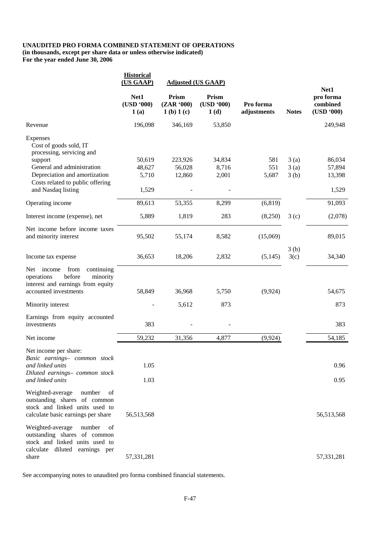### **UNAUDITED PRO FORMA COMBINED STATEMENT OF OPERATIONS (in thousands, except per share data or unless otherwise indicated) For the year ended June 30, 2006**

|                                                                                                                                          | <b>Historical</b><br>(US GAAP) | <b>Adjusted (US GAAP)</b>        |                             |                          |              |                                             |
|------------------------------------------------------------------------------------------------------------------------------------------|--------------------------------|----------------------------------|-----------------------------|--------------------------|--------------|---------------------------------------------|
|                                                                                                                                          | Net1<br>(USD '000)<br>1(a)     | Prism<br>(ZAR '000)<br>1(b) 1(c) | Prism<br>(USD '000)<br>1(d) | Pro forma<br>adjustments | <b>Notes</b> | Net1<br>pro forma<br>combined<br>(USD '000) |
| Revenue                                                                                                                                  | 196,098                        | 346,169                          | 53,850                      |                          |              | 249,948                                     |
| Expenses<br>Cost of goods sold, IT<br>processing, servicing and                                                                          |                                |                                  |                             | 581                      |              | 86,034                                      |
| support<br>General and administration                                                                                                    | 50,619<br>48,627               | 223,926<br>56,028                | 34,834<br>8,716             | 551                      | 3(a)<br>3(a) | 57,894                                      |
| Depreciation and amortization                                                                                                            | 5,710                          | 12,860                           | 2,001                       | 5,687                    | 3(b)         | 13,398                                      |
| Costs related to public offering                                                                                                         |                                |                                  |                             |                          |              |                                             |
| and Nasdaq listing                                                                                                                       | 1,529                          |                                  |                             |                          |              | 1,529                                       |
| Operating income                                                                                                                         | 89,613                         | 53,355                           | 8,299                       | (6, 819)                 |              | 91,093                                      |
| Interest income (expense), net                                                                                                           | 5,889                          | 1,819                            | 283                         | (8,250)                  | 3(c)         | (2,078)                                     |
| Net income before income taxes<br>and minority interest                                                                                  | 95,502                         | 55,174                           | 8,582                       | (15,069)                 |              | 89,015                                      |
| Income tax expense                                                                                                                       | 36,653                         | 18,206                           | 2,832                       | (5, 145)                 | 3(b)<br>3(c) | 34,340                                      |
| Net income<br>from<br>continuing<br>operations<br>before<br>minority<br>interest and earnings from equity<br>accounted investments       | 58,849                         | 36,968                           | 5,750                       | (9, 924)                 |              | 54,675                                      |
| Minority interest                                                                                                                        |                                | 5,612                            | 873                         |                          |              | 873                                         |
| Earnings from equity accounted<br>investments                                                                                            | 383                            |                                  |                             |                          |              | 383                                         |
| Net income                                                                                                                               | 59,232                         | 31,356                           | 4,877                       | (9,924)                  |              | 54,185                                      |
| Net income per share:<br>Basic earnings- common stock<br>and linked units                                                                | 1.05                           |                                  |                             |                          |              | 0.96                                        |
| Diluted earnings- common stock<br>and linked units                                                                                       | 1.03                           |                                  |                             |                          |              | 0.95                                        |
| Weighted-average<br>number<br>of<br>outstanding shares of common<br>stock and linked units used to<br>calculate basic earnings per share | 56,513,568                     |                                  |                             |                          |              | 56,513,568                                  |
| Weighted-average<br>number<br>οf<br>outstanding shares of common<br>stock and linked units used to<br>calculate diluted earnings per     |                                |                                  |                             |                          |              |                                             |
| share                                                                                                                                    | 57, 331, 281                   |                                  |                             |                          |              | 57,331,281                                  |

See accompanying notes to unaudited pro forma combined financial statements.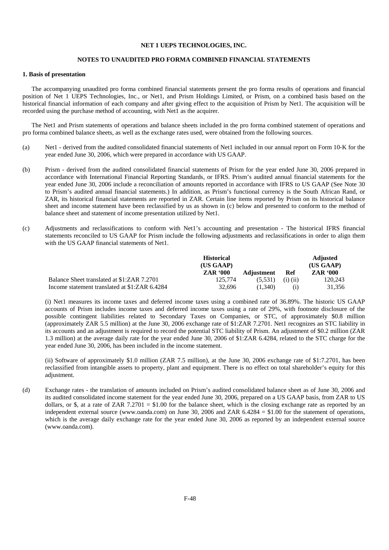#### **NET 1 UEPS TECHNOLOGIES, INC.**

#### **NOTES TO UNAUDITED PRO FORMA COMBINED FINANCIAL STATEMENTS**

### **1. Basis of presentation**

The accompanying unaudited pro forma combined financial statements present the pro forma results of operations and financial position of Net 1 UEPS Technologies, Inc., or Net1, and Prism Holdings Limited, or Prism, on a combined basis based on the historical financial information of each company and after giving effect to the acquisition of Prism by Net1. The acquisition will be recorded using the purchase method of accounting, with Net1 as the acquirer.

The Net1 and Prism statements of operations and balance sheets included in the pro forma combined statement of operations and pro forma combined balance sheets, as well as the exchange rates used, were obtained from the following sources.

- (a) Net1 derived from the audited consolidated financial statements of Net1 included in our annual report on Form 10-K for the year ended June 30, 2006, which were prepared in accordance with US GAAP.
- (b) Prism derived from the audited consolidated financial statements of Prism for the year ended June 30, 2006 prepared in accordance with International Financial Reporting Standards, or IFRS. Prism's audited annual financial statements for the year ended June 30, 2006 include a reconciliation of amounts reported in accordance with IFRS to US GAAP (See Note 30 to Prism's audited annual financial statements.) In addition, as Prism's functional currency is the South African Rand, or ZAR, its historical financial statements are reported in ZAR. Certain line items reported by Prism on its historical balance sheet and income statement have been reclassified by us as shown in (c) below and presented to conform to the method of balance sheet and statement of income presentation utilized by Net1.
- (c) Adjustments and reclassifications to conform with Net1's accounting and presentation The historical IFRS financial statements reconciled to US GAAP for Prism include the following adjustments and reclassifications in order to align them with the US GAAP financial statements of Net1.

|                                               | <b>Historical</b> |                   |              | <b>Adjusted</b> |
|-----------------------------------------------|-------------------|-------------------|--------------|-----------------|
|                                               | (US GAAP)         |                   |              | (US GAAP)       |
|                                               | <b>ZAR '000</b>   | <b>Adjustment</b> | Ref          | <b>ZAR '000</b> |
| Balance Sheet translated at \$1:ZAR 7.2701    | 125,774           | (5.531)           | $(i)$ $(ii)$ | 120.243         |
| Income statement translated at \$1:ZAR 6.4284 | 32.696            | (1.340)           | $\rm(i)$     | 31,356          |

 (i) Net1 measures its income taxes and deferred income taxes using a combined rate of 36.89%. The historic US GAAP accounts of Prism includes income taxes and deferred income taxes using a rate of 29%, with footnote disclosure of the possible contingent liabilities related to Secondary Taxes on Companies, or STC, of approximately \$0.8 million (approximately ZAR 5.5 million) at the June 30, 2006 exchange rate of \$1:ZAR 7.2701. Net1 recognizes an STC liability in its accounts and an adjustment is required to record the potential STC liability of Prism. An adjustment of \$0.2 million (ZAR 1.3 million) at the average daily rate for the year ended June 30, 2006 of \$1:ZAR 6.4284, related to the STC charge for the year ended June 30, 2006, has been included in the income statement.

 (ii) Software of approximately \$1.0 million (ZAR 7.5 million), at the June 30, 2006 exchange rate of \$1:7.2701, has been reclassified from intangible assets to property, plant and equipment. There is no effect on total shareholder's equity for this adjustment.

(d) Exchange rates - the translation of amounts included on Prism's audited consolidated balance sheet as of June 30, 2006 and its audited consolidated income statement for the year ended June 30, 2006, prepared on a US GAAP basis, from ZAR to US dollars, or \$, at a rate of ZAR 7.2701 = \$1.00 for the balance sheet, which is the closing exchange rate as reported by an independent external source (www.oanda.com) on June 30, 2006 and ZAR 6.4284 = \$1.00 for the statement of operations, which is the average daily exchange rate for the year ended June 30, 2006 as reported by an independent external source (www.oanda.com).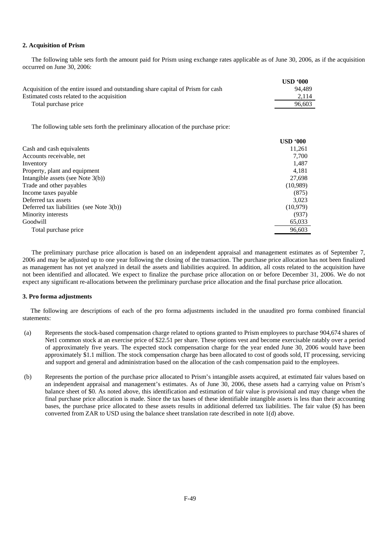### **2. Acquisition of Prism**

The following table sets forth the amount paid for Prism using exchange rates applicable as of June 30, 2006, as if the acquisition occurred on June 30, 2006:

|                                                                                  | USD'000 |
|----------------------------------------------------------------------------------|---------|
| Acquisition of the entire issued and outstanding share capital of Prism for cash | 94.489  |
| Estimated costs related to the acquisition                                       | 2.114   |
| Total purchase price                                                             | 96.603  |

The following table sets forth the preliminary allocation of the purchase price:

|                                             | <b>USD '000</b> |
|---------------------------------------------|-----------------|
| Cash and cash equivalents                   | 11,261          |
| Accounts receivable, net                    | 7,700           |
| Inventory                                   | 1,487           |
| Property, plant and equipment               | 4,181           |
| Intangible assets (see Note $3(b)$ )        | 27,698          |
| Trade and other payables                    | (10,989)        |
| Income taxes payable                        | (875)           |
| Deferred tax assets                         | 3,023           |
| Deferred tax liabilities (see Note $3(b)$ ) | (10,979)        |
| Minority interests                          | (937)           |
| Goodwill                                    | 65,033          |
| Total purchase price                        | 96,603          |

The preliminary purchase price allocation is based on an independent appraisal and management estimates as of September 7, 2006 and may be adjusted up to one year following the closing of the transaction. The purchase price allocation has not been finalized as management has not yet analyzed in detail the assets and liabilities acquired. In addition, all costs related to the acquisition have not been identified and allocated. We expect to finalize the purchase price allocation on or before December 31, 2006. We do not expect any significant re-allocations between the preliminary purchase price allocation and the final purchase price allocation.

#### **3. Pro forma adjustments**

 The following are descriptions of each of the pro forma adjustments included in the unaudited pro forma combined financial statements:

- (a) Represents the stock-based compensation charge related to options granted to Prism employees to purchase 904,674 shares of Net1 common stock at an exercise price of \$22.51 per share. These options vest and become exercisable ratably over a period of approximately five years. The expected stock compensation charge for the year ended June 30, 2006 would have been approximately \$1.1 million. The stock compensation charge has been allocated to cost of goods sold, IT processing, servicing and support and general and administration based on the allocation of the cash compensation paid to the employees.
- (b) Represents the portion of the purchase price allocated to Prism's intangible assets acquired, at estimated fair values based on an independent appraisal and management's estimates. As of June 30, 2006, these assets had a carrying value on Prism's balance sheet of \$0. As noted above, this identification and estimation of fair value is provisional and may change when the final purchase price allocation is made. Since the tax bases of these identifiable intangible assets is less than their accounting bases, the purchase price allocated to these assets results in additional deferred tax liabilities. The fair value (\$) has been converted from ZAR to USD using the balance sheet translation rate described in note 1(d) above.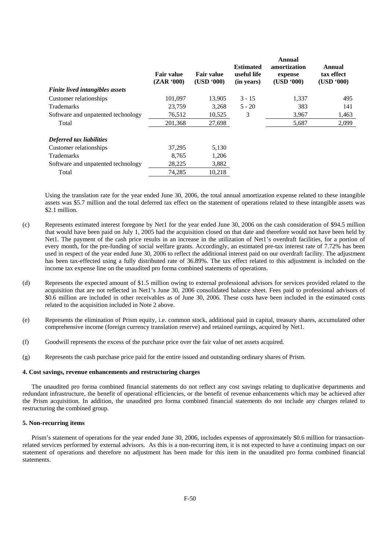| <b>Fair value</b><br>(ZAR '000) | <b>Fair value</b><br>(USD '000) | <b>Estimated</b><br>useful life<br>(in years) | Annual<br>amortization<br>expense<br>(USD '000) | Annual<br>tax effect<br>(USD '000) |
|---------------------------------|---------------------------------|-----------------------------------------------|-------------------------------------------------|------------------------------------|
|                                 |                                 |                                               |                                                 | 495                                |
| 23.759                          |                                 | $5 - 20$                                      | 383                                             | 141                                |
| 76,512                          | 10,525                          | 3                                             | 3,967                                           | 1.463                              |
| 201,368                         | 27,698                          |                                               | 5,687                                           | 2,099                              |
|                                 |                                 |                                               |                                                 |                                    |
| 37.295                          | 5,130                           |                                               |                                                 |                                    |
| 8,765                           | 1,206                           |                                               |                                                 |                                    |
| 28,225                          | 3,882                           |                                               |                                                 |                                    |
| 74.285                          | 10.218                          |                                               |                                                 |                                    |
|                                 | 101.097                         | 13.905<br>3,268                               | $3 - 15$                                        | 1.337                              |

Using the translation rate for the year ended June 30, 2006, the total annual amortization expense related to these intangible assets was \$5.7 million and the total deferred tax effect on the statement of operations related to these intangible assets was \$2.1 million.

- (c) Represents estimated interest foregone by Net1 for the year ended June 30, 2006 on the cash consideration of \$94.5 million that would have been paid on July 1, 2005 had the acquisition closed on that date and therefore would not have been held by Net1. The payment of the cash price results in an increase in the utilization of Net1's overdraft facilities, for a portion of every month, for the pre-funding of social welfare grants. Accordingly, an estimated pre-tax interest rate of 7.72% has been used in respect of the year ended June 30, 2006 to reflect the additional interest paid on our overdraft facility. The adjustment has been tax-effected using a fully distributed rate of 36.89%. The tax effect related to this adjustment is included on the income tax expense line on the unaudited pro forma combined statements of operations.
- (d) Represents the expected amount of \$1.5 million owing to external professional advisors for services provided related to the acquisition that are not reflected in Net1's June 30, 2006 consolidated balance sheet. Fees paid to professional advisors of \$0.6 million are included in other receivables as of June 30, 2006. These costs have been included in the estimated costs related to the acquisition included in Note 2 above.
- (e) Represents the elimination of Prism equity, i.e. common stock, additional paid in capital, treasury shares, accumulated other comprehensive income (foreign currency translation reserve) and retained earnings, acquired by Net1.
- (f) Goodwill represents the excess of the purchase price over the fair value of net assets acquired.
- (g) Represents the cash purchase price paid for the entire issued and outstanding ordinary shares of Prism.

#### **4. Cost savings, revenue enhancements and restructuring charges**

The unaudited pro forma combined financial statements do not reflect any cost savings relating to duplicative departments and redundant infrastructure, the benefit of operational efficiencies, or the benefit of revenue enhancements which may be achieved after the Prism acquisition. In addition, the unaudited pro forma combined financial statements do not include any charges related to restructuring the combined group.

#### **5. Non-recurring items**

Prism's statement of operations for the year ended June 30, 2006, includes expenses of approximately \$0.6 million for transactionrelated services performed by external advisors. As this is a non-recurring item, it is not expected to have a continuing impact on our statement of operations and therefore no adjustment has been made for this item in the unaudited pro forma combined financial statements.